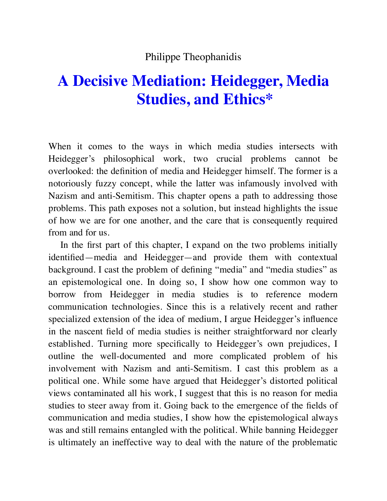#### Philippe Theophanidis

# **A Decisive Mediation: Heidegger, Media Studies, and Ethics\***

When it comes to the ways in which media studies intersects with Heidegger's philosophical work, two crucial problems cannot be overlooked: the definition of media and Heidegger himself. The former is a notoriously fuzzy concept, while the latter was infamously involved with Nazism and anti-Semitism. This chapter opens a path to addressing those problems. This path exposes not a solution, but instead highlights the issue of how we are for one another, and the care that is consequently required from and for us.

In the first part of this chapter, I expand on the two problems initially identified—media and Heidegger—and provide them with contextual background. I cast the problem of defining "media" and "media studies" as an epistemological one. In doing so, I show how one common way to borrow from Heidegger in media studies is to reference modern communication technologies. Since this is a relatively recent and rather specialized extension of the idea of medium, I argue Heidegger's influence in the nascent field of media studies is neither straightforward nor clearly established. Turning more specifically to Heidegger's own prejudices, I outline the well-documented and more complicated problem of his involvement with Nazism and anti-Semitism. I cast this problem as a political one. While some have argued that Heidegger's distorted political views contaminated all his work, I suggest that this is no reason for media studies to steer away from it. Going back to the emergence of the fields of communication and media studies, I show how the epistemological always was and still remains entangled with the political. While banning Heidegger is ultimately an ineffective way to deal with the nature of the problematic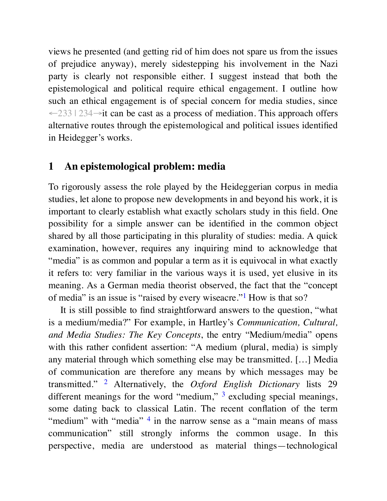views he presented (and getting rid of him does not spare us from the issues of prejudice anyway), merely sidestepping his involvement in the Nazi party is clearly not responsible either. I suggest instead that both the epistemological and political require ethical engagement. I outline how such an ethical engagement is of special concern for media studies, since ←233 | 234→it can be cast as a process of mediation. This approach offers alternative routes through the epistemological and political issues identified in Heidegger's works.

### **1 An epistemological problem: media**

To rigorously assess the role played by the Heideggerian corpus in media studies, let alone to propose new developments in and beyond his work, it is important to clearly establish what exactly scholars study in this field. One possibility for a simple answer can be identified in the common object shared by all those participating in this plurality of studies: media. A quick examination, however, requires any inquiring mind to acknowledge that "media" is as common and popular a term as it is equivocal in what exactly it refers to: very familiar in the various ways it is used, yet elusive in its meaning. As a German media theorist observed, the fact that the "concept of media" is an issue is "raised by every wiseacre."<sup>1</sup> How is that so?

It is still possible to find straightforward answers to the question, "what is a medium/media?" For example, in Hartley's *Communication, Cultural, and Media Studies: The Key Concepts*, the entry "Medium/media" opens with this rather confident assertion: "A medium (plural, media) is simply any material through which something else may be transmitted. […] Media of communication are therefore any means by which messages may be transmitted." <sup>2</sup> Alternatively, the *Oxford English Dictionary* lists 29 different meanings for the word "medium,"  $3$  excluding special meanings, some dating back to classical Latin. The recent conflation of the term "medium" with "media" <sup>4</sup> in the narrow sense as a "main means of mass communication" still strongly informs the common usage. In this perspective, media are understood as material things—technological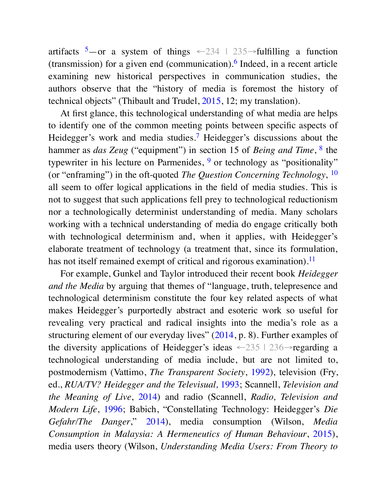artifacts  $5$ —or a system of things  $\leftarrow$  234 | 235→fulfilling a function (transmission) for a given end (communication).<sup>6</sup> Indeed, in a recent article examining new historical perspectives in communication studies, the authors observe that the "history of media is foremost the history of technical objects" (Thibault and Trudel, 2015, 12; my translation).

At first glance, this technological understanding of what media are helps to identify one of the common meeting points between specific aspects of Heidegger's work and media studies.<sup>7</sup> Heidegger's discussions about the hammer as *das Zeug* ("equipment") in section 15 of *Being and Time*, <sup>8</sup> the typewriter in his lecture on Parmenides,  $9$  or technology as "positionality" (or "enframing") in the oft-quoted *The Question Concerning Technology*, 10 all seem to offer logical applications in the field of media studies. This is not to suggest that such applications fell prey to technological reductionism nor a technologically determinist understanding of media. Many scholars working with a technical understanding of media do engage critically both with technological determinism and, when it applies, with Heidegger's elaborate treatment of technology (a treatment that, since its formulation, has not itself remained exempt of critical and rigorous examination).<sup>11</sup>

For example, Gunkel and Taylor introduced their recent book *Heidegger and the Media* by arguing that themes of "language, truth, telepresence and technological determinism constitute the four key related aspects of what makes Heidegger's purportedly abstract and esoteric work so useful for revealing very practical and radical insights into the media's role as a structuring element of our everyday lives" (2014, p. 8). Further examples of the diversity applications of Heidegger's ideas  $\leftarrow$  235 | 236 $\rightarrow$ regarding a technological understanding of media include, but are not limited to, postmodernism (Vattimo, *The Transparent Society*, 1992), television (Fry, ed., *RUA/TV? Heidegger and the Televisual,* 1993; Scannell, *Television and the Meaning of Live*, 2014) and radio (Scannell, *Radio, Television and Modern Life*, 1996; Babich, "Constellating Technology: Heidegger's *Die Gefahr/The Danger*," 2014), media consumption (Wilson, *Media Consumption in Malaysia: A Hermeneutics of Human Behaviour*, 2015), media users theory (Wilson, *Understanding Media Users: From Theory to*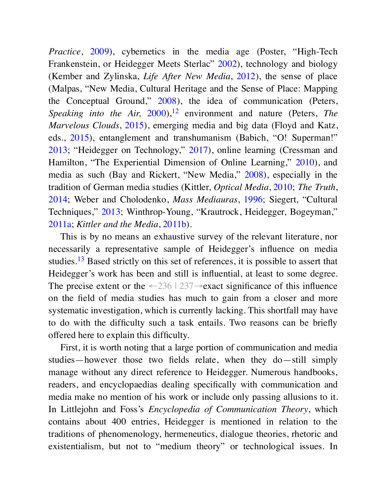*Practice*, 2009), cybernetics in the media age (Poster, "High-Tech" Frankenstein, or Heidegger Meets Sterlac" 2002), technology and biology (Kember and Zylinska, *Life After New Media*, 2012), the sense of place (Malpas, "New Media, Cultural Heritage and the Sense of Place: Mapping the Conceptual Ground," 2008), the idea of communication (Peters, *Speaking into the Air,* 2000),<sup>12</sup> environment and nature (Peters, *The Marvelous Clouds*, 2015), emerging media and big data (Floyd and Katz, eds., 2015), entanglement and transhumanism (Babich, "O! Superman!" 2013; "Heidegger on Technology," 2017), online learning (Cressman and Hamilton, "The Experiential Dimension of Online Learning," 2010), and media as such (Bay and Rickert, "New Media," 2008), especially in the tradition of German media studies (Kittler, *Optical Media*, 2010; *The Truth*, 2014; Weber and Cholodenko, *Mass Mediauras*, 1996; Siegert, "Cultural Techniques," 2013; Winthrop-Young, "Krautrock, Heidegger, Bogeyman," 2011a; *Kittler and the Media*, 2011b).

This is by no means an exhaustive survey of the relevant literature, nor necessarily a representative sample of Heidegger's influence on media studies.<sup>13</sup> Based strictly on this set of references, it is possible to assert that Heidegger's work has been and still is influential, at least to some degree. The precise extent or the  $\leftarrow$ 236 | 237→exact significance of this influence on the field of media studies has much to gain from a closer and more systematic investigation, which is currently lacking. This shortfall may have to do with the difficulty such a task entails. Two reasons can be briefly offered here to explain this difficulty.

First, it is worth noting that a large portion of communication and media studies—however those two fields relate, when they do—still simply manage without any direct reference to Heidegger. Numerous handbooks, readers, and encyclopaedias dealing specifically with communication and media make no mention of his work or include only passing allusions to it. In Littlejohn and Foss's *Encyclopedia of Communication Theory*, which contains about 400 entries, Heidegger is mentioned in relation to the traditions of phenomenology, hermeneutics, dialogue theories, rhetoric and existentialism, but not to "medium theory" or technological issues. In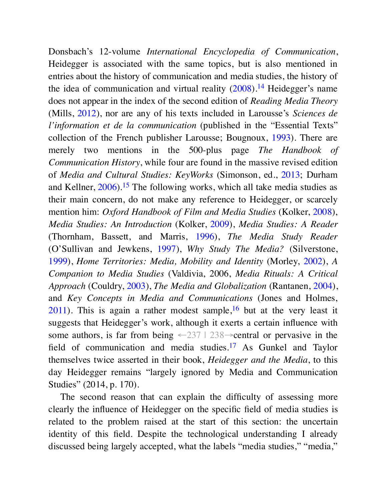Donsbach's 12-volume *International Encyclopedia of Communication*, Heidegger is associated with the same topics, but is also mentioned in entries about the history of communication and media studies, the history of the idea of communication and virtual reality  $(2008).<sup>14</sup>$  Heidegger's name does not appear in the index of the second edition of *Reading Media Theory* (Mills, 2012), nor are any of his texts included in Larousse's *Sciences de l'information et de la communication* (published in the "Essential Texts" collection of the French publisher Larousse; Bougnoux, 1993). There are merely two mentions in the 500-plus page *The Handbook of Communication History*, while four are found in the massive revised edition of *Media and Cultural Studies: KeyWorks* (Simonson, ed., 2013; Durham and Kellner,  $2006$ ).<sup>15</sup> The following works, which all take media studies as their main concern, do not make any reference to Heidegger, or scarcely mention him: *Oxford Handbook of Film and Media Studies* (Kolker, 2008), *Media Studies: An Introduction* (Kolker, 2009), *Media Studies: A Reader* (Thornham, Bassett, and Marris, 1996), *The Media Study Reader* (O'Sullivan and Jewkens, 1997), *Why Study The Media?* (Silverstone, 1999), *Home Territories: Media, Mobility and Identity* (Morley, 2002), *A Companion to Media Studies* (Valdivia, 2006, *Media Rituals: A Critical Approach* (Couldry, 2003), *The Media and Globalization* (Rantanen, 2004), and *Key Concepts in Media and Communications* (Jones and Holmes,  $2011$ ). This is again a rather modest sample,<sup>16</sup> but at the very least it suggests that Heidegger's work, although it exerts a certain influence with some authors, is far from being  $\leq 237$  | 238 $\rightarrow$ central or pervasive in the field of communication and media studies.<sup>17</sup> As Gunkel and Taylor themselves twice asserted in their book, *Heidegger and the Media*, to this day Heidegger remains "largely ignored by Media and Communication Studies" (2014, p. 170).

The second reason that can explain the difficulty of assessing more clearly the influence of Heidegger on the specific field of media studies is related to the problem raised at the start of this section: the uncertain identity of this field. Despite the technological understanding I already discussed being largely accepted, what the labels "media studies," "media,"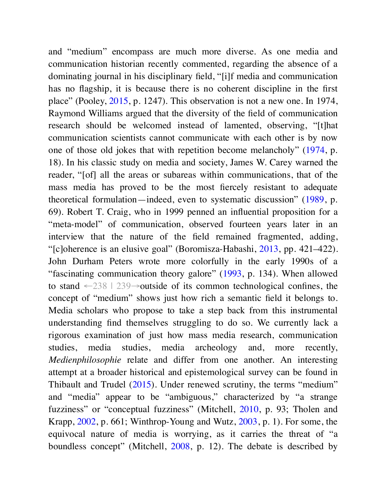and "medium" encompass are much more diverse. As one media and communication historian recently commented, regarding the absence of a dominating journal in his disciplinary field, "[i] f media and communication has no flagship, it is because there is no coherent discipline in the first place" (Pooley, 2015, p. 1247). This observation is not a new one. In 1974, Raymond Williams argued that the diversity of the field of communication research should be welcomed instead of lamented, observing, "[t]hat communication scientists cannot communicate with each other is by now one of those old jokes that with repetition become melancholy" (1974, p. 18). In his classic study on media and society, James W. Carey warned the reader, "[of] all the areas or subareas within communications, that of the mass media has proved to be the most fiercely resistant to adequate theoretical formulation—indeed, even to systematic discussion" (1989, p. 69). Robert T. Craig, who in 1999 penned an influential proposition for a "meta-model" of communication, observed fourteen years later in an interview that the nature of the field remained fragmented, adding, "[c]oherence is an elusive goal" (Boromisza-Habashi, 2013, pp. 421–422). John Durham Peters wrote more colorfully in the early 1990s of a "fascinating communication theory galore" (1993, p. 134). When allowed to stand  $\leftarrow$  238 | 239→outside of its common technological confines, the concept of "medium" shows just how rich a semantic field it belongs to. Media scholars who propose to take a step back from this instrumental understanding find themselves struggling to do so. We currently lack a rigorous examination of just how mass media research, communication studies, media studies, media archeology and, more recently, *Medienphilosophie* relate and differ from one another. An interesting attempt at a broader historical and epistemological survey can be found in Thibault and Trudel (2015). Under renewed scrutiny, the terms "medium" and "media" appear to be "ambiguous," characterized by "a strange fuzziness" or "conceptual fuzziness" (Mitchell, 2010, p. 93; Tholen and Krapp, 2002, p. 661; Winthrop-Young and Wutz, 2003, p. 1). For some, the equivocal nature of media is worrying, as it carries the threat of "a boundless concept" (Mitchell, 2008, p. 12). The debate is described by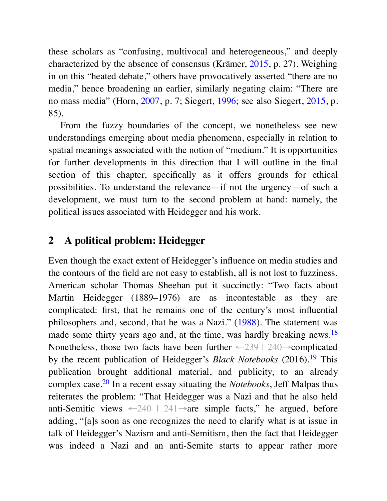these scholars as "confusing, multivocal and heterogeneous," and deeply characterized by the absence of consensus (Krämer, 2015, p. 27). Weighing in on this "heated debate," others have provocatively asserted "there are no media," hence broadening an earlier, similarly negating claim: "There are no mass media" (Horn, 2007, p. 7; Siegert, 1996; see also Siegert, 2015, p. 85).

From the fuzzy boundaries of the concept, we nonetheless see new understandings emerging about media phenomena, especially in relation to spatial meanings associated with the notion of "medium." It is opportunities for further developments in this direction that I will outline in the final section of this chapter, specifically as it offers grounds for ethical possibilities. To understand the relevance—if not the urgency—of such a development, we must turn to the second problem at hand: namely, the political issues associated with Heidegger and his work.

## **2 A political problem: Heidegger**

Even though the exact extent of Heidegger's influence on media studies and the contours of the field are not easy to establish, all is not lost to fuzziness. American scholar Thomas Sheehan put it succinctly: "Two facts about Martin Heidegger (1889–1976) are as incontestable as they are complicated: first, that he remains one of the century's most influential philosophers and, second, that he was a Nazi." (1988). The statement was made some thirty years ago and, at the time, was hardly breaking news.<sup>18</sup> Nonetheless, those two facts have been further  $\leq 239$  | 240 $\rightarrow$ complicated by the recent publication of Heidegger's *Black Notebooks* (2016).<sup>19</sup> This publication brought additional material, and publicity, to an already complex case.<sup>20</sup> In a recent essay situating the *Notebooks*, Jeff Malpas thus reiterates the problem: "That Heidegger was a Nazi and that he also held anti-Semitic views  $\leftarrow 240$  | 241 $\rightarrow$ are simple facts," he argued, before adding, "[a]s soon as one recognizes the need to clarify what is at issue in talk of Heidegger's Nazism and anti-Semitism, then the fact that Heidegger was indeed a Nazi and an anti-Semite starts to appear rather more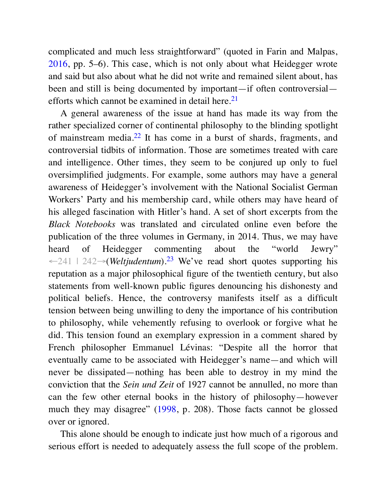complicated and much less straightforward" (quoted in Farin and Malpas, 2016, pp. 5–6). This case, which is not only about what Heidegger wrote and said but also about what he did not write and remained silent about, has been and still is being documented by important—if often controversial efforts which cannot be examined in detail here.<sup>21</sup>

A general awareness of the issue at hand has made its way from the rather specialized corner of continental philosophy to the blinding spotlight of mainstream media.<sup>22</sup> It has come in a burst of shards, fragments, and controversial tidbits of information. Those are sometimes treated with care and intelligence. Other times, they seem to be conjured up only to fuel oversimplified judgments. For example, some authors may have a general awareness of Heidegger's involvement with the National Socialist German Workers' Party and his membership card, while others may have heard of his alleged fascination with Hitler's hand. A set of short excerpts from the *Black Notebooks* was translated and circulated online even before the publication of the three volumes in Germany, in 2014. Thus, we may have heard of Heidegger commenting about the "world Jewry" ←241 | 242→(*Weltjudentum*).<sup>23</sup> We've read short quotes supporting his reputation as a major philosophical figure of the twentieth century, but also statements from well-known public figures denouncing his dishonesty and political beliefs. Hence, the controversy manifests itself as a difficult tension between being unwilling to deny the importance of his contribution to philosophy, while vehemently refusing to overlook or forgive what he did. This tension found an exemplary expression in a comment shared by French philosopher Emmanuel Lévinas: "Despite all the horror that eventually came to be associated with Heidegger's name—and which will never be dissipated—nothing has been able to destroy in my mind the conviction that the *Sein und Zeit* of 1927 cannot be annulled, no more than can the few other eternal books in the history of philosophy—however much they may disagree" (1998, p. 208). Those facts cannot be glossed over or ignored.

This alone should be enough to indicate just how much of a rigorous and serious effort is needed to adequately assess the full scope of the problem.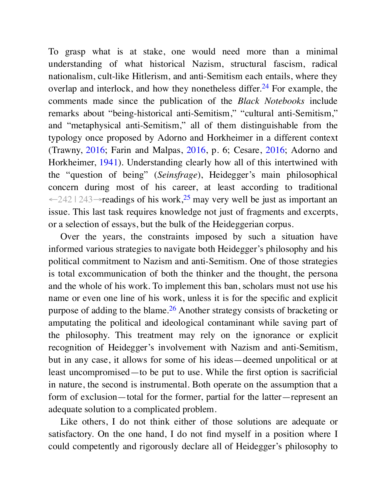To grasp what is at stake, one would need more than a minimal understanding of what historical Nazism, structural fascism, radical nationalism, cult-like Hitlerism, and anti-Semitism each entails, where they overlap and interlock, and how they nonetheless differ.<sup>24</sup> For example, the comments made since the publication of the *Black Notebooks* include remarks about "being-historical anti-Semitism," "cultural anti-Semitism," and "metaphysical anti-Semitism," all of them distinguishable from the typology once proposed by Adorno and Horkheimer in a different context (Trawny, 2016; Farin and Malpas, 2016, p. 6; Cesare, 2016; Adorno and Horkheimer, 1941). Understanding clearly how all of this intertwined with the "question of being" (*Seinsfrage*), Heidegger's main philosophical concern during most of his career, at least according to traditional ←242 | 243→readings of his work,<sup>25</sup> may very well be just as important an issue. This last task requires knowledge not just of fragments and excerpts, or a selection of essays, but the bulk of the Heideggerian corpus.

Over the years, the constraints imposed by such a situation have informed various strategies to navigate both Heidegger's philosophy and his political commitment to Nazism and anti-Semitism. One of those strategies is total excommunication of both the thinker and the thought, the persona and the whole of his work. To implement this ban, scholars must not use his name or even one line of his work, unless it is for the specific and explicit purpose of adding to the blame.<sup>26</sup> Another strategy consists of bracketing or amputating the political and ideological contaminant while saving part of the philosophy. This treatment may rely on the ignorance or explicit recognition of Heidegger's involvement with Nazism and anti-Semitism, but in any case, it allows for some of his ideas—deemed unpolitical or at least uncompromised—to be put to use. While the first option is sacrificial in nature, the second is instrumental. Both operate on the assumption that a form of exclusion—total for the former, partial for the latter—represent an adequate solution to a complicated problem.

Like others, I do not think either of those solutions are adequate or satisfactory. On the one hand, I do not find myself in a position where I could competently and rigorously declare all of Heidegger's philosophy to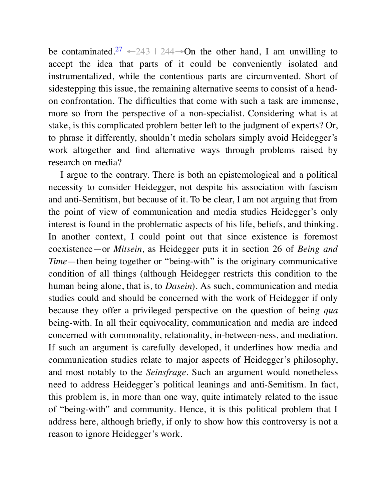be contaminated.<sup>27</sup>  $\leftarrow$  243 | 244→On the other hand, I am unwilling to accept the idea that parts of it could be conveniently isolated and instrumentalized, while the contentious parts are circumvented. Short of sidestepping this issue, the remaining alternative seems to consist of a headon confrontation. The difficulties that come with such a task are immense, more so from the perspective of a non-specialist. Considering what is at stake, is this complicated problem better left to the judgment of experts? Or, to phrase it differently, shouldn't media scholars simply avoid Heidegger's work altogether and find alternative ways through problems raised by research on media?

I argue to the contrary. There is both an epistemological and a political necessity to consider Heidegger, not despite his association with fascism and anti-Semitism, but because of it. To be clear, I am not arguing that from the point of view of communication and media studies Heidegger's only interest is found in the problematic aspects of his life, beliefs, and thinking. In another context, I could point out that since existence is foremost coexistence—or *Mitsein*, as Heidegger puts it in section 26 of *Being and Time*—then being together or "being-with" is the originary communicative condition of all things (although Heidegger restricts this condition to the human being alone, that is, to *Dasein*). As such, communication and media studies could and should be concerned with the work of Heidegger if only because they offer a privileged perspective on the question of being *qua* being-with. In all their equivocality, communication and media are indeed concerned with commonality, relationality, in-between-ness, and mediation. If such an argument is carefully developed, it underlines how media and communication studies relate to major aspects of Heidegger's philosophy, and most notably to the *Seinsfrage*. Such an argument would nonetheless need to address Heidegger's political leanings and anti-Semitism. In fact, this problem is, in more than one way, quite intimately related to the issue of "being-with" and community. Hence, it is this political problem that I address here, although briefly, if only to show how this controversy is not a reason to ignore Heidegger's work.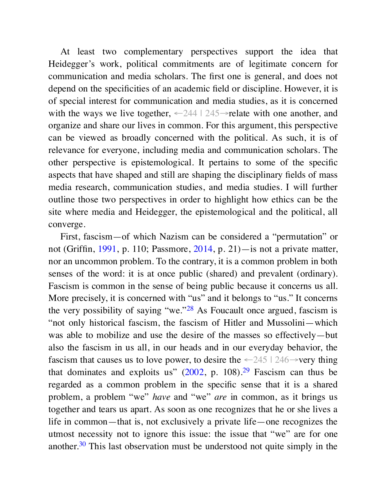At least two complementary perspectives support the idea that Heidegger's work, political commitments are of legitimate concern for communication and media scholars. The first one is general, and does not depend on the specificities of an academic field or discipline. However, it is of special interest for communication and media studies, as it is concerned with the ways we live together, ←244 | 245→relate with one another, and organize and share our lives in common. For this argument, this perspective can be viewed as broadly concerned with the political. As such, it is of relevance for everyone, including media and communication scholars. The other perspective is epistemological. It pertains to some of the specific aspects that have shaped and still are shaping the disciplinary fields of mass media research, communication studies, and media studies. I will further outline those two perspectives in order to highlight how ethics can be the site where media and Heidegger, the epistemological and the political, all converge.

First, fascism—of which Nazism can be considered a "permutation" or not (Griffin, 1991, p. 110; Passmore, 2014, p. 21)—is not a private matter, nor an uncommon problem. To the contrary, it is a common problem in both senses of the word: it is at once public (shared) and prevalent (ordinary). Fascism is common in the sense of being public because it concerns us all. More precisely, it is concerned with "us" and it belongs to "us." It concerns the very possibility of saying "we." $28$  As Foucault once argued, fascism is "not only historical fascism, the fascism of Hitler and Mussolini—which was able to mobilize and use the desire of the masses so effectively—but also the fascism in us all, in our heads and in our everyday behavior, the fascism that causes us to love power, to desire the  $\leq 245$  | 246 $\rightarrow$ very thing that dominates and exploits us"  $(2002, p. 108).^{29}$  Fascism can thus be regarded as a common problem in the specific sense that it is a shared problem, a problem "we" *have* and "we" *are* in common, as it brings us together and tears us apart. As soon as one recognizes that he or she lives a life in common—that is, not exclusively a private life—one recognizes the utmost necessity not to ignore this issue: the issue that "we" are for one another.<sup>30</sup> This last observation must be understood not quite simply in the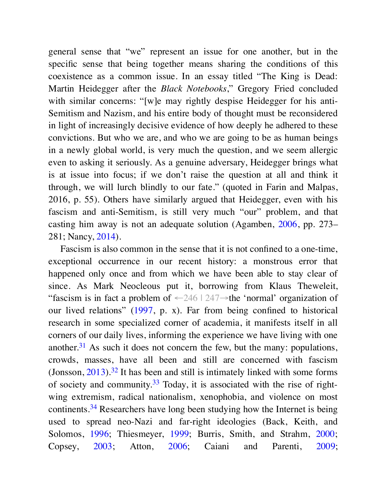general sense that "we" represent an issue for one another, but in the specific sense that being together means sharing the conditions of this coexistence as a common issue. In an essay titled "The King is Dead: Martin Heidegger after the *Black Notebooks*," Gregory Fried concluded with similar concerns: "[w] e may rightly despise Heidegger for his anti-Semitism and Nazism, and his entire body of thought must be reconsidered in light of increasingly decisive evidence of how deeply he adhered to these convictions. But who we are, and who we are going to be as human beings in a newly global world, is very much the question, and we seem allergic even to asking it seriously. As a genuine adversary, Heidegger brings what is at issue into focus; if we don't raise the question at all and think it through, we will lurch blindly to our fate." (quoted in Farin and Malpas, 2016, p. 55). Others have similarly argued that Heidegger, even with his fascism and anti-Semitism, is still very much "our" problem, and that casting him away is not an adequate solution (Agamben, 2006, pp. 273– 281; Nancy, 2014).

Fascism is also common in the sense that it is not confined to a one-time, exceptional occurrence in our recent history: a monstrous error that happened only once and from which we have been able to stay clear of since. As Mark Neocleous put it, borrowing from Klaus Theweleit, "fascism is in fact a problem of  $-246 \mid 247 \rightarrow$  the 'normal' organization of our lived relations" (1997, p. x). Far from being confined to historical research in some specialized corner of academia, it manifests itself in all corners of our daily lives, informing the experience we have living with one another.<sup>31</sup> As such it does not concern the few, but the many: populations, crowds, masses, have all been and still are concerned with fascism (Jonsson,  $2013$ ).<sup>32</sup> It has been and still is intimately linked with some forms of society and community.<sup>33</sup> Today, it is associated with the rise of rightwing extremism, radical nationalism, xenophobia, and violence on most continents.<sup>34</sup> Researchers have long been studying how the Internet is being used to spread neo-Nazi and far-right ideologies (Back, Keith, and Solomos, 1996; Thiesmeyer, 1999; Burris, Smith, and Strahm, 2000; Copsey, 2003; Atton, 2006; Caiani and Parenti, 2009;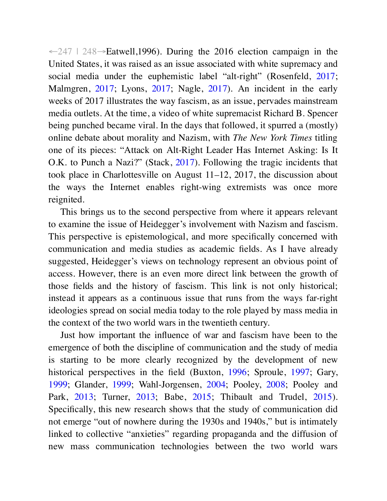$\leftarrow$  247  $\mid$  248→Eatwell, 1996). During the 2016 election campaign in the United States, it was raised as an issue associated with white supremacy and social media under the euphemistic label "alt-right" (Rosenfeld, 2017; Malmgren, 2017; Lyons, 2017; Nagle, 2017). An incident in the early weeks of 2017 illustrates the way fascism, as an issue, pervades mainstream media outlets. At the time, a video of white supremacist Richard B. Spencer being punched became viral. In the days that followed, it spurred a (mostly) online debate about morality and Nazism, with *The New York Times* titling one of its pieces: "Attack on Alt-Right Leader Has Internet Asking: Is It O.K. to Punch a Nazi?" (Stack, 2017). Following the tragic incidents that took place in Charlottesville on August 11–12, 2017, the discussion about the ways the Internet enables right-wing extremists was once more reignited.

This brings us to the second perspective from where it appears relevant to examine the issue of Heidegger's involvement with Nazism and fascism. This perspective is epistemological, and more specifically concerned with communication and media studies as academic fields. As I have already suggested, Heidegger's views on technology represent an obvious point of access. However, there is an even more direct link between the growth of those fields and the history of fascism. This link is not only historical; instead it appears as a continuous issue that runs from the ways far-right ideologies spread on social media today to the role played by mass media in the context of the two world wars in the twentieth century.

Just how important the influence of war and fascism have been to the emergence of both the discipline of communication and the study of media is starting to be more clearly recognized by the development of new historical perspectives in the field (Buxton, 1996; Sproule, 1997; Gary, 1999; Glander, 1999; Wahl-Jorgensen, 2004; Pooley, 2008; Pooley and Park, 2013; Turner, 2013; Babe, 2015; Thibault and Trudel, 2015). Specifically, this new research shows that the study of communication did not emerge "out of nowhere during the 1930s and 1940s," but is intimately linked to collective "anxieties" regarding propaganda and the diffusion of new mass communication technologies between the two world wars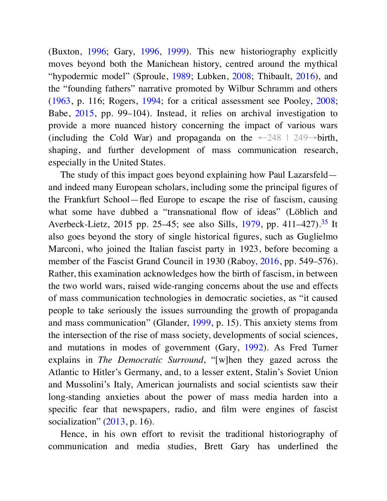(Buxton, 1996; Gary, 1996, 1999). This new historiography explicitly moves beyond both the Manichean history, centred around the mythical "hypodermic model" (Sproule, 1989; Lubken, 2008; Thibault, 2016), and the "founding fathers" narrative promoted by Wilbur Schramm and others (1963, p. 116; Rogers, 1994; for a critical assessment see Pooley, 2008; Babe, 2015, pp. 99–104). Instead, it relies on archival investigation to provide a more nuanced history concerning the impact of various wars (including the Cold War) and propaganda on the  $\leftarrow$  248  $\mid$  249 $\rightarrow$ birth, shaping, and further development of mass communication research, especially in the United States.

The study of this impact goes beyond explaining how Paul Lazarsfeld and indeed many European scholars, including some the principal figures of the Frankfurt School—fled Europe to escape the rise of fascism, causing what some have dubbed a "transnational flow of ideas" (Löblich and Averbeck-Lietz, 2015 pp. 25–45; see also Sills, 1979, pp. 411–427).<sup>35</sup> It also goes beyond the story of single historical figures, such as Guglielmo Marconi, who joined the Italian fascist party in 1923, before becoming a member of the Fascist Grand Council in 1930 (Raboy, 2016, pp. 549–576). Rather, this examination acknowledges how the birth of fascism, in between the two world wars, raised wide-ranging concerns about the use and effects of mass communication technologies in democratic societies, as "it caused people to take seriously the issues surrounding the growth of propaganda and mass communication" (Glander, 1999, p. 15). This anxiety stems from the intersection of the rise of mass society, developments of social sciences, and mutations in modes of government (Gary, 1992). As Fred Turner explains in *The Democratic Surround*, "[w] hen they gazed across the Atlantic to Hitler's Germany, and, to a lesser extent, Stalin's Soviet Union and Mussolini's Italy, American journalists and social scientists saw their long-standing anxieties about the power of mass media harden into a specific fear that newspapers, radio, and film were engines of fascist socialization" (2013, p. 16).

Hence, in his own effort to revisit the traditional historiography of communication and media studies, Brett Gary has underlined the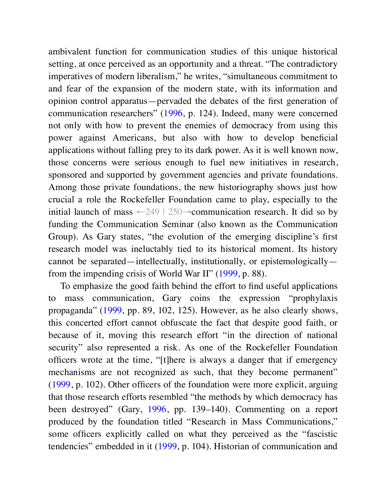ambivalent function for communication studies of this unique historical setting, at once perceived as an opportunity and a threat. "The contradictory imperatives of modern liberalism," he writes, "simultaneous commitment to and fear of the expansion of the modern state, with its information and opinion control apparatus—pervaded the debates of the first generation of communication researchers" (1996, p. 124). Indeed, many were concerned not only with how to prevent the enemies of democracy from using this power against Americans, but also with how to develop beneficial applications without falling prey to its dark power. As it is well known now, those concerns were serious enough to fuel new initiatives in research, sponsored and supported by government agencies and private foundations. Among those private foundations, the new historiography shows just how crucial a role the Rockefeller Foundation came to play, especially to the initial launch of mass  $\leftarrow 249 \mid 250 \rightarrow$ communication research. It did so by funding the Communication Seminar (also known as the Communication Group). As Gary states, "the evolution of the emerging discipline's first research model was ineluctably tied to its historical moment. Its history cannot be separated—intellectually, institutionally, or epistemologically from the impending crisis of World War II" (1999, p. 88).

To emphasize the good faith behind the effort to find useful applications to mass communication, Gary coins the expression "prophylaxis propaganda" (1999, pp. 89, 102, 125). However, as he also clearly shows, this concerted effort cannot obfuscate the fact that despite good faith, or because of it, moving this research effort "in the direction of national security" also represented a risk. As one of the Rockefeller Foundation officers wrote at the time, "[t] here is always a danger that if emergency mechanisms are not recognized as such, that they become permanent" (1999, p. 102). Other officers of the foundation were more explicit, arguing that those research efforts resembled "the methods by which democracy has been destroyed" (Gary, 1996, pp. 139–140). Commenting on a report produced by the foundation titled "Research in Mass Communications," some officers explicitly called on what they perceived as the "fascistic tendencies" embedded in it (1999, p. 104). Historian of communication and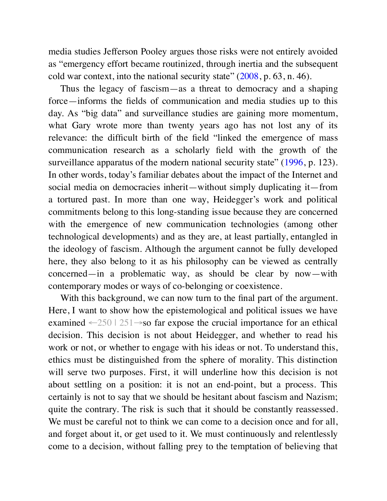media studies Jefferson Pooley argues those risks were not entirely avoided as "emergency effort became routinized, through inertia and the subsequent cold war context, into the national security state" (2008, p. 63, n. 46).

Thus the legacy of fascism—as a threat to democracy and a shaping force—informs the fields of communication and media studies up to this day. As "big data" and surveillance studies are gaining more momentum, what Gary wrote more than twenty years ago has not lost any of its relevance: the difficult birth of the field "linked the emergence of mass communication research as a scholarly field with the growth of the surveillance apparatus of the modern national security state" (1996, p. 123). In other words, today's familiar debates about the impact of the Internet and social media on democracies inherit—without simply duplicating it—from a tortured past. In more than one way, Heidegger's work and political commitments belong to this long-standing issue because they are concerned with the emergence of new communication technologies (among other technological developments) and as they are, at least partially, entangled in the ideology of fascism. Although the argument cannot be fully developed here, they also belong to it as his philosophy can be viewed as centrally concerned—in a problematic way, as should be clear by now—with contemporary modes or ways of co-belonging or coexistence.

With this background, we can now turn to the final part of the argument. Here, I want to show how the epistemological and political issues we have examined  $-250$  | 251 $\rightarrow$ so far expose the crucial importance for an ethical decision. This decision is not about Heidegger, and whether to read his work or not, or whether to engage with his ideas or not. To understand this, ethics must be distinguished from the sphere of morality. This distinction will serve two purposes. First, it will underline how this decision is not about settling on a position: it is not an end-point, but a process. This certainly is not to say that we should be hesitant about fascism and Nazism; quite the contrary. The risk is such that it should be constantly reassessed. We must be careful not to think we can come to a decision once and for all, and forget about it, or get used to it. We must continuously and relentlessly come to a decision, without falling prey to the temptation of believing that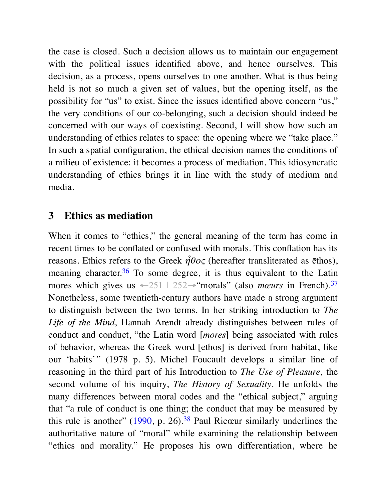the case is closed. Such a decision allows us to maintain our engagement with the political issues identified above, and hence ourselves. This decision, as a process, opens ourselves to one another. What is thus being held is not so much a given set of values, but the opening itself, as the possibility for "us" to exist. Since the issues identified above concern "us," the very conditions of our co-belonging, such a decision should indeed be concerned with our ways of coexisting. Second, I will show how such an understanding of ethics relates to space: the opening where we "take place." In such a spatial configuration, the ethical decision names the conditions of a milieu of existence: it becomes a process of mediation. This idiosyncratic understanding of ethics brings it in line with the study of medium and media.

#### **3 Ethics as mediation**

When it comes to "ethics," the general meaning of the term has come in recent times to be conflated or confused with morals. This conflation has its reasons. Ethics refers to the Greek *ἦθος* (hereafter transliterated as ēthos), meaning character.<sup>36</sup> To some degree, it is thus equivalent to the Latin mores which gives us  $\leftarrow 251$  | 252 $\rightarrow$ "morals" (also *mœurs* in French).<sup>37</sup> Nonetheless, some twentieth-century authors have made a strong argument to distinguish between the two terms. In her striking introduction to *The Life of the Mind*, Hannah Arendt already distinguishes between rules of conduct and conduct, "the Latin word [*mores*] being associated with rules of behavior, whereas the Greek word [ēthos] is derived from habitat, like our 'habits'" (1978 p. 5). Michel Foucault develops a similar line of reasoning in the third part of his Introduction to *The Use of Pleasure*, the second volume of his inquiry, *The History of Sexuality*. He unfolds the many differences between moral codes and the "ethical subject," arguing that "a rule of conduct is one thing; the conduct that may be measured by this rule is another"  $(1990, p. 26)$ .<sup>38</sup> Paul Ricœur similarly underlines the authoritative nature of "moral" while examining the relationship between "ethics and morality." He proposes his own differentiation, where he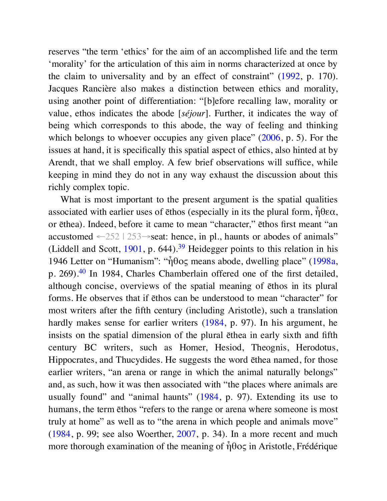reserves "the term 'ethics' for the aim of an accomplished life and the term 'morality' for the articulation of this aim in norms characterized at once by the claim to universality and by an effect of constraint" (1992, p. 170). Jacques Rancière also makes a distinction between ethics and morality, using another point of differentiation: "[b] efore recalling law, morality or value, ethos indicates the abode [*séjour*]. Further, it indicates the way of being which corresponds to this abode, the way of feeling and thinking which belongs to whoever occupies any given place" (2006, p. 5). For the issues at hand, it is specifically this spatial aspect of ethics, also hinted at by Arendt, that we shall employ. A few brief observations will suffice, while keeping in mind they do not in any way exhaust the discussion about this richly complex topic.

What is most important to the present argument is the spatial qualities associated with earlier uses of  $\bar{\epsilon}$ thos (especially in its the plural form,  $\hat{\eta}$ θεα, or ēthea). Indeed, before it came to mean "character," ēthos first meant "an accustomed  $-252 \mid 253 \rightarrow$ seat: hence, in pl., haunts or abodes of animals" (Liddell and Scott,  $1901$ , p. 644).<sup>39</sup> Heidegger points to this relation in his 1946 Letter on "Humanism": "ἦθος means abode, dwelling place" (1998a, p. 269).<sup>40</sup> In 1984, Charles Chamberlain offered one of the first detailed, although concise, overviews of the spatial meaning of ēthos in its plural forms. He observes that if ēthos can be understood to mean "character" for most writers after the fifth century (including Aristotle), such a translation hardly makes sense for earlier writers (1984, p. 97). In his argument, he insists on the spatial dimension of the plural ēthea in early sixth and fifth century BC writers, such as Homer, Hesiod, Theognis, Herodotus, Hippocrates, and Thucydides. He suggests the word ēthea named, for those earlier writers, "an arena or range in which the animal naturally belongs" and, as such, how it was then associated with "the places where animals are usually found" and "animal haunts" (1984, p. 97). Extending its use to humans, the term ēthos "refers to the range or arena where someone is most truly at home" as well as to "the arena in which people and animals move" (1984, p. 99; see also Woerther, 2007, p. 34). In a more recent and much more thorough examination of the meaning of  $\hat{\eta} \theta$ oς in Aristotle, Frédérique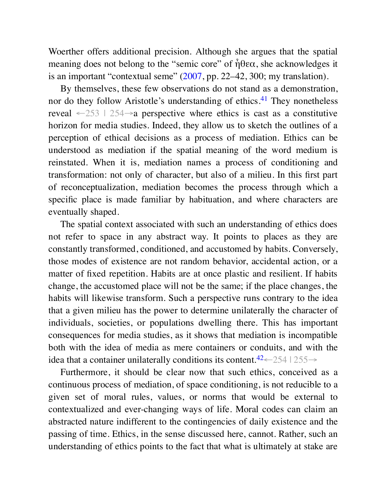Woerther offers additional precision. Although she argues that the spatial meaning does not belong to the "semic core" of  $\hat{\eta}$ θεα, she acknowledges it is an important "contextual seme" (2007, pp. 22–42, 300; my translation).

By themselves, these few observations do not stand as a demonstration, nor do they follow Aristotle's understanding of ethics.<sup>41</sup> They nonetheless reveal  $-253$  | 254 $\rightarrow$ a perspective where ethics is cast as a constitutive horizon for media studies. Indeed, they allow us to sketch the outlines of a perception of ethical decisions as a process of mediation. Ethics can be understood as mediation if the spatial meaning of the word medium is reinstated. When it is, mediation names a process of conditioning and transformation: not only of character, but also of a milieu. In this first part of reconceptualization, mediation becomes the process through which a specific place is made familiar by habituation, and where characters are eventually shaped.

The spatial context associated with such an understanding of ethics does not refer to space in any abstract way. It points to places as they are constantly transformed, conditioned, and accustomed by habits. Conversely, those modes of existence are not random behavior, accidental action, or a matter of fixed repetition. Habits are at once plastic and resilient. If habits change, the accustomed place will not be the same; if the place changes, the habits will likewise transform. Such a perspective runs contrary to the idea that a given milieu has the power to determine unilaterally the character of individuals, societies, or populations dwelling there. This has important consequences for media studies, as it shows that mediation is incompatible both with the idea of media as mere containers or conduits, and with the idea that a container unilaterally conditions its content.<sup>42</sup>←254 | 255→

Furthermore, it should be clear now that such ethics, conceived as a continuous process of mediation, of space conditioning, is not reducible to a given set of moral rules, values, or norms that would be external to contextualized and ever-changing ways of life. Moral codes can claim an abstracted nature indifferent to the contingencies of daily existence and the passing of time. Ethics, in the sense discussed here, cannot. Rather, such an understanding of ethics points to the fact that what is ultimately at stake are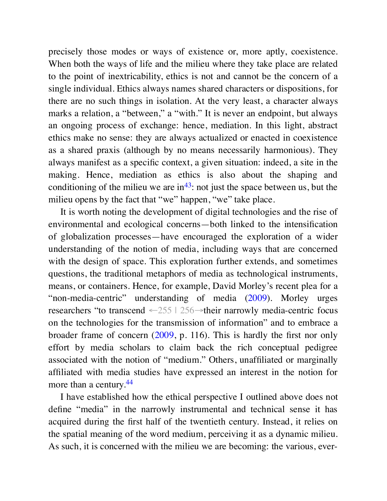precisely those modes or ways of existence or, more aptly, coexistence. When both the ways of life and the milieu where they take place are related to the point of inextricability, ethics is not and cannot be the concern of a single individual. Ethics always names shared characters or dispositions, for there are no such things in isolation. At the very least, a character always marks a relation, a "between," a "with." It is never an endpoint, but always an ongoing process of exchange: hence, mediation. In this light, abstract ethics make no sense: they are always actualized or enacted in coexistence as a shared praxis (although by no means necessarily harmonious). They always manifest as a specific context, a given situation: indeed, a site in the making. Hence, mediation as ethics is also about the shaping and conditioning of the milieu we are  $in^{43}$ : not just the space between us, but the milieu opens by the fact that "we" happen, "we" take place.

It is worth noting the development of digital technologies and the rise of environmental and ecological concerns—both linked to the intensification of globalization processes—have encouraged the exploration of a wider understanding of the notion of media, including ways that are concerned with the design of space. This exploration further extends, and sometimes questions, the traditional metaphors of media as technological instruments, means, or containers. Hence, for example, David Morley's recent plea for a "non-media-centric" understanding of media (2009). Morley urges researchers "to transcend ←255 | 256→their narrowly media-centric focus on the technologies for the transmission of information" and to embrace a broader frame of concern (2009, p. 116). This is hardly the first nor only effort by media scholars to claim back the rich conceptual pedigree associated with the notion of "medium." Others, unaffiliated or marginally affiliated with media studies have expressed an interest in the notion for more than a century.<sup>44</sup>

I have established how the ethical perspective I outlined above does not define "media" in the narrowly instrumental and technical sense it has acquired during the first half of the twentieth century. Instead, it relies on the spatial meaning of the word medium, perceiving it as a dynamic milieu. As such, it is concerned with the milieu we are becoming: the various, ever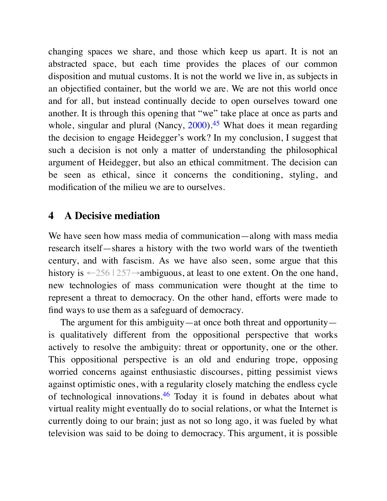changing spaces we share, and those which keep us apart. It is not an abstracted space, but each time provides the places of our common disposition and mutual customs. It is not the world we live in, as subjects in an objectified container, but the world we are. We are not this world once and for all, but instead continually decide to open ourselves toward one another. It is through this opening that "we" take place at once as parts and whole, singular and plural (Nancy,  $2000$ ).<sup>45</sup> What does it mean regarding the decision to engage Heidegger's work? In my conclusion, I suggest that such a decision is not only a matter of understanding the philosophical argument of Heidegger, but also an ethical commitment. The decision can be seen as ethical, since it concerns the conditioning, styling, and modification of the milieu we are to ourselves.

#### **4 A Decisive mediation**

We have seen how mass media of communication—along with mass media research itself—shares a history with the two world wars of the twentieth century, and with fascism. As we have also seen, some argue that this history is ←256 | 257→ambiguous, at least to one extent. On the one hand, new technologies of mass communication were thought at the time to represent a threat to democracy. On the other hand, efforts were made to find ways to use them as a safeguard of democracy.

The argument for this ambiguity—at once both threat and opportunity is qualitatively different from the oppositional perspective that works actively to resolve the ambiguity: threat or opportunity, one or the other. This oppositional perspective is an old and enduring trope, opposing worried concerns against enthusiastic discourses, pitting pessimist views against optimistic ones, with a regularity closely matching the endless cycle of technological innovations.<sup>46</sup> Today it is found in debates about what virtual reality might eventually do to social relations, or what the Internet is currently doing to our brain; just as not so long ago, it was fueled by what television was said to be doing to democracy. This argument, it is possible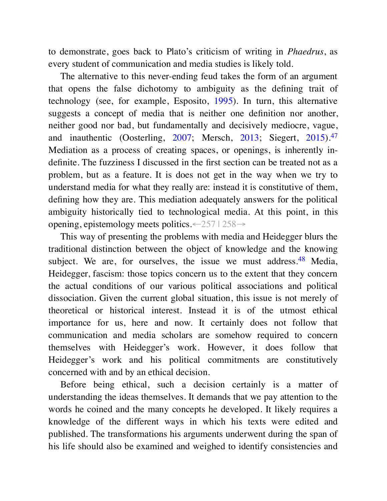to demonstrate, goes back to Plato's criticism of writing in *Phaedrus*, as every student of communication and media studies is likely told.

The alternative to this never-ending feud takes the form of an argument that opens the false dichotomy to ambiguity as the defining trait of technology (see, for example, Esposito, 1995). In turn, this alternative suggests a concept of media that is neither one definition nor another, neither good nor bad, but fundamentally and decisively mediocre, vague, and inauthentic (Oosterling, 2007; Mersch, 2013; Siegert, 2015).<sup>47</sup> Mediation as a process of creating spaces, or openings, is inherently indefinite. The fuzziness I discussed in the first section can be treated not as a problem, but as a feature. It is does not get in the way when we try to understand media for what they really are: instead it is constitutive of them, defining how they are. This mediation adequately answers for the political ambiguity historically tied to technological media. At this point, in this opening, epistemology meets politics.←257 | 258→

This way of presenting the problems with media and Heidegger blurs the traditional distinction between the object of knowledge and the knowing subject. We are, for ourselves, the issue we must address.<sup>48</sup> Media, Heidegger, fascism: those topics concern us to the extent that they concern the actual conditions of our various political associations and political dissociation. Given the current global situation, this issue is not merely of theoretical or historical interest. Instead it is of the utmost ethical importance for us, here and now. It certainly does not follow that communication and media scholars are somehow required to concern themselves with Heidegger's work. However, it does follow that Heidegger's work and his political commitments are constitutively concerned with and by an ethical decision.

Before being ethical, such a decision certainly is a matter of understanding the ideas themselves. It demands that we pay attention to the words he coined and the many concepts he developed. It likely requires a knowledge of the different ways in which his texts were edited and published. The transformations his arguments underwent during the span of his life should also be examined and weighed to identify consistencies and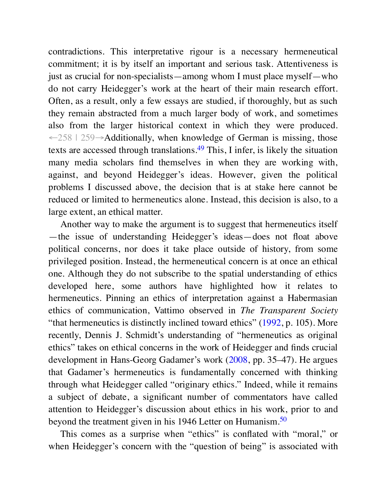contradictions. This interpretative rigour is a necessary hermeneutical commitment; it is by itself an important and serious task. Attentiveness is just as crucial for non-specialists—among whom I must place myself—who do not carry Heidegger's work at the heart of their main research effort. Often, as a result, only a few essays are studied, if thoroughly, but as such they remain abstracted from a much larger body of work, and sometimes also from the larger historical context in which they were produced. ←258 | 259→Additionally, when knowledge of German is missing, those texts are accessed through translations.<sup>49</sup> This, I infer, is likely the situation many media scholars find themselves in when they are working with, against, and beyond Heidegger's ideas. However, given the political problems I discussed above, the decision that is at stake here cannot be reduced or limited to hermeneutics alone. Instead, this decision is also, to a large extent, an ethical matter.

Another way to make the argument is to suggest that hermeneutics itself —the issue of understanding Heidegger's ideas—does not float above political concerns, nor does it take place outside of history, from some privileged position. Instead, the hermeneutical concern is at once an ethical one. Although they do not subscribe to the spatial understanding of ethics developed here, some authors have highlighted how it relates to hermeneutics. Pinning an ethics of interpretation against a Habermasian ethics of communication, Vattimo observed in *The Transparent Society* "that hermeneutics is distinctly inclined toward ethics" (1992, p. 105). More recently, Dennis J. Schmidt's understanding of "hermeneutics as original ethics" takes on ethical concerns in the work of Heidegger and finds crucial development in Hans-Georg Gadamer's work (2008, pp. 35–47). He argues that Gadamer's hermeneutics is fundamentally concerned with thinking through what Heidegger called "originary ethics." Indeed, while it remains a subject of debate, a significant number of commentators have called attention to Heidegger's discussion about ethics in his work, prior to and beyond the treatment given in his 1946 Letter on Humanism.<sup>50</sup>

This comes as a surprise when "ethics" is conflated with "moral," or when Heidegger's concern with the "question of being" is associated with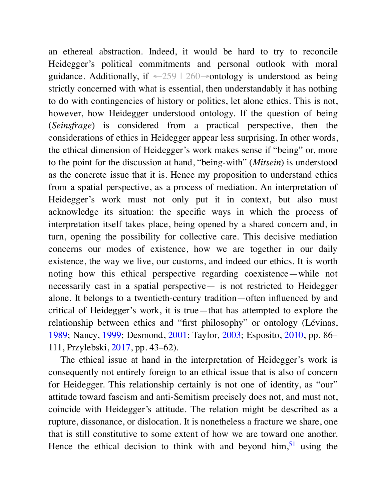an ethereal abstraction. Indeed, it would be hard to try to reconcile Heidegger's political commitments and personal outlook with moral guidance. Additionally, if  $\leftarrow 259 \mid 260 \rightarrow$ ontology is understood as being strictly concerned with what is essential, then understandably it has nothing to do with contingencies of history or politics, let alone ethics. This is not, however, how Heidegger understood ontology. If the question of being (*Seinsfrage*) is considered from a practical perspective, then the considerations of ethics in Heidegger appear less surprising. In other words, the ethical dimension of Heidegger's work makes sense if "being" or, more to the point for the discussion at hand, "being-with" (*Mitsein*) is understood as the concrete issue that it is. Hence my proposition to understand ethics from a spatial perspective, as a process of mediation. An interpretation of Heidegger's work must not only put it in context, but also must acknowledge its situation: the specific ways in which the process of interpretation itself takes place, being opened by a shared concern and, in turn, opening the possibility for collective care. This decisive mediation concerns our modes of existence, how we are together in our daily existence, the way we live, our customs, and indeed our ethics. It is worth noting how this ethical perspective regarding coexistence—while not necessarily cast in a spatial perspective— is not restricted to Heidegger alone. It belongs to a twentieth-century tradition—often influenced by and critical of Heidegger's work, it is true—that has attempted to explore the relationship between ethics and "first philosophy" or ontology (Lévinas, 1989; Nancy, 1999; Desmond, 2001; Taylor, 2003; Esposito, 2010, pp. 86– 111, Przylebski, 2017, pp. 43–62).

The ethical issue at hand in the interpretation of Heidegger's work is consequently not entirely foreign to an ethical issue that is also of concern for Heidegger. This relationship certainly is not one of identity, as "our" attitude toward fascism and anti-Semitism precisely does not, and must not, coincide with Heidegger's attitude. The relation might be described as a rupture, dissonance, or dislocation. It is nonetheless a fracture we share, one that is still constitutive to some extent of how we are toward one another. Hence the ethical decision to think with and beyond  $\lim_{n \to \infty} 51$  using the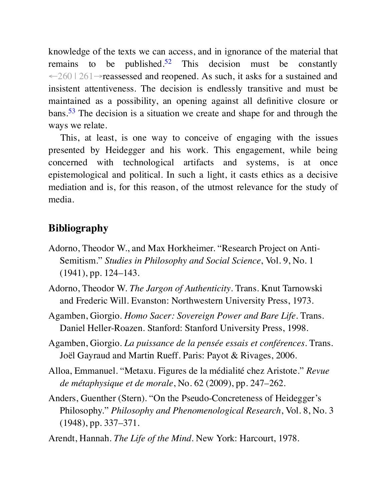knowledge of the texts we can access, and in ignorance of the material that remains to be published.<sup>52</sup> This decision must be constantly ←260 | 261→reassessed and reopened. As such, it asks for a sustained and insistent attentiveness. The decision is endlessly transitive and must be maintained as a possibility, an opening against all definitive closure or bans.<sup>53</sup> The decision is a situation we create and shape for and through the ways we relate.

This, at least, is one way to conceive of engaging with the issues presented by Heidegger and his work. This engagement, while being concerned with technological artifacts and systems, is at once epistemological and political. In such a light, it casts ethics as a decisive mediation and is, for this reason, of the utmost relevance for the study of media.

# **Bibliography**

- Adorno, Theodor W., and Max Horkheimer. "Research Project on Anti-Semitism." *Studies in Philosophy and Social Science*, Vol. 9, No. 1 (1941), pp. 124–143.
- Adorno, Theodor W. *The Jargon of Authenticity*. Trans. Knut Tarnowski and Frederic Will. Evanston: Northwestern University Press, 1973.
- Agamben, Giorgio. *Homo Sacer: Sovereign Power and Bare Life*. Trans. Daniel Heller-Roazen. Stanford: Stanford University Press, 1998.
- Agamben, Giorgio. *La puissance de la pensée essais et conférences*. Trans. Joël Gayraud and Martin Rueff. Paris: Payot & Rivages, 2006.
- Alloa, Emmanuel. "Metaxu. Figures de la médialité chez Aristote." *Revue de métaphysique et de morale*, No. 62 (2009), pp. 247–262.
- Anders, Guenther (Stern). "On the Pseudo-Concreteness of Heidegger's Philosophy." *Philosophy and Phenomenological Research*, Vol. 8, No. 3 (1948), pp. 337–371.
- Arendt, Hannah. *The Life of the Mind*. New York: Harcourt, 1978.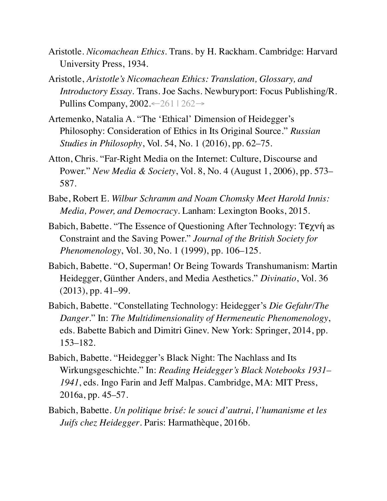- Aristotle. *Nicomachean Ethics*. Trans. by H. Rackham. Cambridge: Harvard University Press, 1934.
- Aristotle, *Aristotle's Nicomachean Ethics: Translation, Glossary, and Introductory Essay*. Trans. Joe Sachs. Newburyport: Focus Publishing/R. Pullins Company, 2002.←261 | 262→
- Artemenko, Natalia A. "The 'Ethical' Dimension of Heidegger's Philosophy: Consideration of Ethics in Its Original Source." *Russian Studies in Philosophy*, Vol. 54, No. 1 (2016), pp. 62–75.
- Atton, Chris. "Far-Right Media on the Internet: Culture, Discourse and Power." *New Media & Society*, Vol. 8, No. 4 (August 1, 2006), pp. 573– 587.
- Babe, Robert E. *Wilbur Schramm and Noam Chomsky Meet Harold Innis: Media, Power, and Democracy*. Lanham: Lexington Books, 2015.
- Babich, Babette. "The Essence of Questioning After Technology: Tϵχνή as Constraint and the Saving Power." *Journal of the British Society for Phenomenology*, Vol. 30, No. 1 (1999), pp. 106–125.
- Babich, Babette. "O, Superman! Or Being Towards Transhumanism: Martin Heidegger, Günther Anders, and Media Aesthetics." *Divinatio*, Vol. 36 (2013), pp. 41–99.
- Babich, Babette. "Constellating Technology: Heidegger's *Die Gefahr/The Danger*." In: *The Multidimensionality of Hermeneutic Phenomenology*, eds. Babette Babich and Dimitri Ginev. New York: Springer, 2014, pp. 153–182.
- Babich, Babette. "Heidegger's Black Night: The Nachlass and Its Wirkungsgeschichte." In: *Reading Heidegger's Black Notebooks 1931– 1941*, eds. Ingo Farin and Jeff Malpas. Cambridge, MA: MIT Press, 2016a, pp. 45–57.
- Babich, Babette. *Un politique brisé: le souci d'autrui, l'humanisme et les Juifs chez Heidegger*. Paris: Harmathèque, 2016b.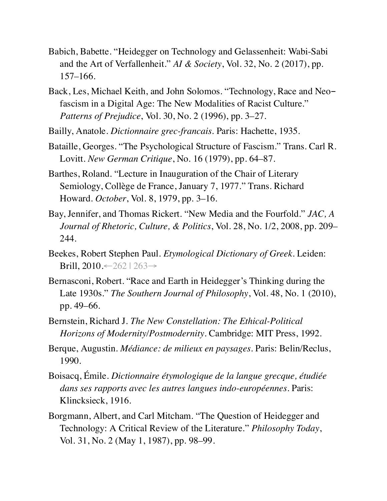- Babich, Babette. "Heidegger on Technology and Gelassenheit: Wabi-Sabi and the Art of Verfallenheit." *AI & Society*, Vol. 32, No. 2 (2017), pp. 157–166.
- Back, Les, Michael Keith, and John Solomos. "Technology, Race and Neofascism in a Digital Age: The New Modalities of Racist Culture." *Patterns of Prejudice*, Vol. 30, No. 2 (1996), pp. 3–27.
- Bailly, Anatole. *Dictionnaire grec-francais*. Paris: Hachette, 1935.
- Bataille, Georges. "The Psychological Structure of Fascism." Trans. Carl R. Lovitt. *New German Critique*, No. 16 (1979), pp. 64–87.
- Barthes, Roland. "Lecture in Inauguration of the Chair of Literary Semiology, Collège de France, January 7, 1977." Trans. Richard Howard. *October*, Vol. 8, 1979, pp. 3–16.
- Bay, Jennifer, and Thomas Rickert. "New Media and the Fourfold." *JAC, A Journal of Rhetoric, Culture, & Politics*, Vol. 28, No. 1/2, 2008, pp. 209– 244.
- Beekes, Robert Stephen Paul. *Etymological Dictionary of Greek*. Leiden: Brill, 2010.←262 | 263→
- Bernasconi, Robert. "Race and Earth in Heidegger's Thinking during the Late 1930s." *The Southern Journal of Philosophy*, Vol. 48, No. 1 (2010), pp. 49–66.
- Bernstein, Richard J. *The New Constellation: The Ethical-Political Horizons of Modernity/Postmodernity*. Cambridge: MIT Press, 1992.
- Berque, Augustin. *Médiance: de milieux en paysages*. Paris: Belin/Reclus, 1990.
- Boisacq, Émile. *Dictionnaire étymologique de la langue grecque, étudiée dans ses rapports avec les autres langues indo-européennes*. Paris: Klincksieck, 1916.
- Borgmann, Albert, and Carl Mitcham. "The Question of Heidegger and Technology: A Critical Review of the Literature." *Philosophy Today*, Vol. 31, No. 2 (May 1, 1987), pp. 98–99.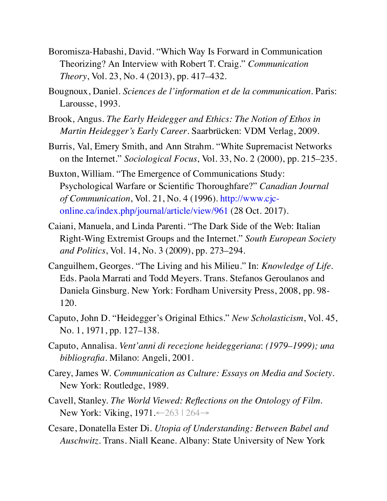- Boromisza-Habashi, David. "Which Way Is Forward in Communication Theorizing? An Interview with Robert T. Craig." *Communication Theory*, Vol. 23, No. 4 (2013), pp. 417–432.
- Bougnoux, Daniel. *Sciences de l'information et de la communication*. Paris: Larousse, 1993.
- Brook, Angus. *The Early Heidegger and Ethics: The Notion of Ethos in Martin Heidegger's Early Career*. Saarbrücken: VDM Verlag, 2009.
- Burris, Val, Emery Smith, and Ann Strahm. "White Supremacist Networks on the Internet." *Sociological Focus*, Vol. 33, No. 2 (2000), pp. 215–235.
- Buxton, William. "The Emergence of Communications Study: Psychological Warfare or Scientific Thoroughfare?" *Canadian Journal of Communication*, Vol. 21, No. 4 (1996). http://www.cjconline.ca/index.php/journal/article/view/961 (28 Oct. 2017).
- Caiani, Manuela, and Linda Parenti. "The Dark Side of the Web: Italian Right-Wing Extremist Groups and the Internet." *South European Society and Politics*, Vol. 14, No. 3 (2009), pp. 273–294.
- Canguilhem, Georges. "The Living and his Milieu." In: *Knowledge of Life*. Eds. Paola Marrati and Todd Meyers. Trans. Stefanos Geroulanos and Daniela Ginsburg. New York: Fordham University Press, 2008, pp. 98- 120.
- Caputo, John D. "Heidegger's Original Ethics." *New Scholasticism*, Vol. 45, No. 1, 1971, pp. 127–138.
- Caputo, Annalisa. *Vent'anni di recezione heideggeriana*: *(1979–1999); una bibliografia*. Milano: Angeli, 2001.
- Carey, James W. *Communication as Culture: Essays on Media and Society*. New York: Routledge, 1989.
- Cavell, Stanley. *The World Viewed: Reflections on the Ontology of Film*. New York: Viking, 1971.←263 | 264→
- Cesare, Donatella Ester Di. *Utopia of Understanding: Between Babel and Auschwitz*. Trans. Niall Keane. Albany: State University of New York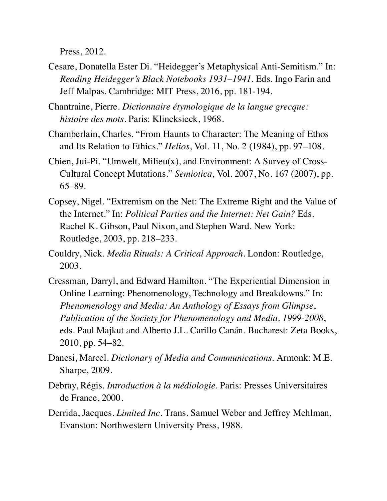Press, 2012.

Cesare, Donatella Ester Di. "Heidegger's Metaphysical Anti-Semitism." In: *Reading Heidegger's Black Notebooks 1931–1941*. Eds. Ingo Farin and Jeff Malpas. Cambridge: MIT Press, 2016, pp. 181-194.

Chantraine, Pierre. *Dictionnaire étymologique de la langue grecque: histoire des mots*. Paris: Klincksieck, 1968.

- Chamberlain, Charles. "From Haunts to Character: The Meaning of Ethos and Its Relation to Ethics." *Helios*, Vol. 11, No. 2 (1984), pp. 97–108.
- Chien, Jui-Pi. "Umwelt, Milieu(x), and Environment: A Survey of Cross-Cultural Concept Mutations." *Semiotica*, Vol. 2007, No. 167 (2007), pp. 65–89.
- Copsey, Nigel. "Extremism on the Net: The Extreme Right and the Value of the Internet." In: *Political Parties and the Internet: Net Gain?* Eds. Rachel K. Gibson, Paul Nixon, and Stephen Ward. New York: Routledge, 2003, pp. 218–233.
- Couldry, Nick. *Media Rituals: A Critical Approach*. London: Routledge, 2003.
- Cressman, Darryl, and Edward Hamilton. "The Experiential Dimension in Online Learning: Phenomenology, Technology and Breakdowns." In: *Phenomenology and Media: An Anthology of Essays from Glimpse*, *Publication of the Society for Phenomenology and Media, 1999-2008*, eds. Paul Majkut and Alberto J.L. Carillo Canán. Bucharest: Zeta Books, 2010, pp. 54–82.
- Danesi, Marcel. *Dictionary of Media and Communications*. Armonk: M.E. Sharpe, 2009.
- Debray, Régis. *Introduction à la médiologie*. Paris: Presses Universitaires de France, 2000.
- Derrida, Jacques. *Limited Inc*. Trans. Samuel Weber and Jeffrey Mehlman, Evanston: Northwestern University Press, 1988.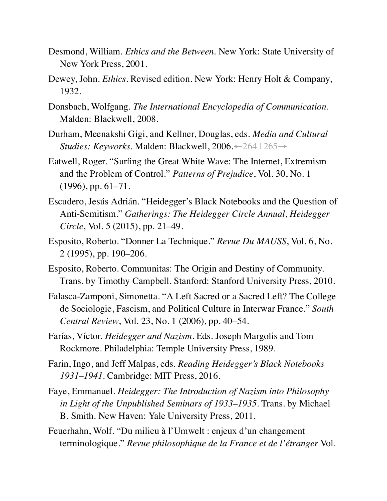- Desmond, William. *Ethics and the Between*. New York: State University of New York Press, 2001.
- Dewey, John. *Ethics*. Revised edition. New York: Henry Holt & Company, 1932.
- Donsbach, Wolfgang. *The International Encyclopedia of Communication*. Malden: Blackwell, 2008.
- Durham, Meenakshi Gigi, and Kellner, Douglas, eds. *Media and Cultural Studies: Keyworks*. Malden: Blackwell, 2006.←264 | 265→
- Eatwell, Roger. "Surfing the Great White Wave: The Internet, Extremism and the Problem of Control." *Patterns of Prejudice*, Vol. 30, No. 1  $(1996)$ , pp. 61–71.
- Escudero, Jesús Adrián. "Heidegger's Black Notebooks and the Question of Anti-Semitism." *Gatherings: The Heidegger Circle Annual, Heidegger Circle*, Vol. 5 (2015), pp. 21–49.
- Esposito, Roberto. "Donner La Technique." *Revue Du MAUSS*, Vol. 6, No. 2 (1995), pp. 190–206.
- Esposito, Roberto. Communitas: The Origin and Destiny of Community. Trans. by Timothy Campbell. Stanford: Stanford University Press, 2010.
- Falasca-Zamponi, Simonetta. "A Left Sacred or a Sacred Left? The College de Sociologie, Fascism, and Political Culture in Interwar France." *South Central Review*, Vol. 23, No. 1 (2006), pp. 40–54.
- Farías, Víctor. *Heidegger and Nazism*. Eds. Joseph Margolis and Tom Rockmore. Philadelphia: Temple University Press, 1989.
- Farin, Ingo, and Jeff Malpas, eds. *Reading Heidegger's Black Notebooks 1931–1941*. Cambridge: MIT Press, 2016.
- Faye, Emmanuel. *Heidegger: The Introduction of Nazism into Philosophy in Light of the Unpublished Seminars of 1933–1935*. Trans. by Michael B. Smith. New Haven: Yale University Press, 2011.
- Feuerhahn, Wolf. "Du milieu à l'Umwelt : enjeux d'un changement terminologique." *Revue philosophique de la France et de l'étranger* Vol.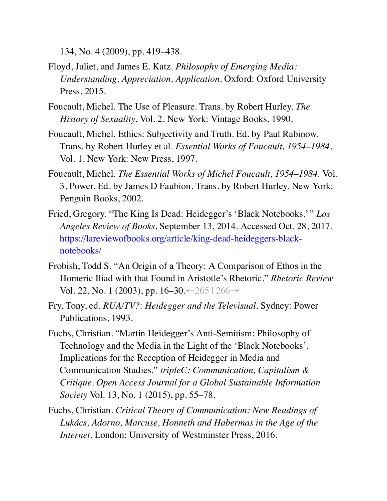134, No. 4 (2009), pp. 419–438.

- Floyd, Juliet, and James E. Katz. *Philosophy of Emerging Media: Understanding, Appreciation, Application*. Oxford: Oxford University Press, 2015.
- Foucault, Michel. The Use of Pleasure. Trans. by Robert Hurley. *The History of Sexuality*, Vol. 2. New York: Vintage Books, 1990.
- Foucault, Michel. Ethics: Subjectivity and Truth. Ed. by Paul Rabinow. Trans. by Robert Hurley et al. *Essential Works of Foucault, 1954–1984*, Vol. 1. New York: New Press, 1997.
- Foucault, Michel. *The Essential Works of Michel Foucault, 1954–1984*. Vol. 3, Power. Ed. by James D Faubion. Trans. by Robert Hurley. New York: Penguin Books, 2002.
- Fried, Gregory. "The King Is Dead: Heidegger's 'Black Notebooks.' " *Los Angeles Review of Books*, September 13, 2014. Accessed Oct. 28, 2017. https://lareviewofbooks.org/article/king-dead-heideggers-blacknotebooks/
- Frobish, Todd S. "An Origin of a Theory: A Comparison of Ethos in the Homeric Iliad with that Found in Aristotle's Rhetoric." *Rhetoric Review* Vol. 22, No. 1 (2003), pp. 16–30. ← 265 | 266→
- Fry, Tony, ed. *RUA/TV?*: *Heidegger and the Televisual*. Sydney: Power Publications, 1993.
- Fuchs, Christian. "Martin Heidegger's Anti-Semitism: Philosophy of Technology and the Media in the Light of the 'Black Notebooks'. Implications for the Reception of Heidegger in Media and Communication Studies." *tripleC: Communication, Capitalism & Critique. Open Access Journal for a Global Sustainable Information Society* Vol. 13, No. 1 (2015), pp. 55–78.
- Fuchs, Christian. *Critical Theory of Communication: New Readings of Lukács, Adorno, Marcuse, Honneth and Habermas in the Age of the Internet*. London: University of Westminster Press, 2016.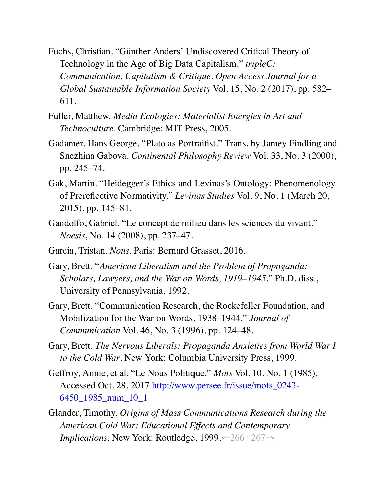- Fuchs, Christian. "Günther Anders' Undiscovered Critical Theory of Technology in the Age of Big Data Capitalism." *tripleC: Communication, Capitalism & Critique. Open Access Journal for a Global Sustainable Information Society* Vol. 15, No. 2 (2017), pp. 582– 611.
- Fuller, Matthew. *Media Ecologies: Materialist Energies in Art and Technoculture*. Cambridge: MIT Press, 2005.
- Gadamer, Hans George. "Plato as Portraitist." Trans. by Jamey Findling and Snezhina Gabova. *Continental Philosophy Review* Vol. 33, No. 3 (2000), pp. 245–74.
- Gak, Martin. "Heidegger's Ethics and Levinas's Ontology: Phenomenology of Prereflective Normativity." *Levinas Studies* Vol. 9, No. 1 (March 20, 2015), pp. 145–81.
- Gandolfo, Gabriel. "Le concept de milieu dans les sciences du vivant." *Noesis*, No. 14 (2008), pp. 237–47.
- Garcia, Tristan. *Nous*. Paris: Bernard Grasset, 2016.
- Gary, Brett. "*American Liberalism and the Problem of Propaganda: Scholars, Lawyers, and the War on Words, 1919–1945*." Ph.D. diss., University of Pennsylvania, 1992.
- Gary, Brett. "Communication Research, the Rockefeller Foundation, and Mobilization for the War on Words, 1938–1944." *Journal of Communication* Vol. 46, No. 3 (1996), pp. 124–48.
- Gary, Brett. *The Nervous Liberals: Propaganda Anxieties from World War I to the Cold War*. New York: Columbia University Press, 1999.
- Geffroy, Annie, et al. "Le Nous Politique." *Mots* Vol. 10, No. 1 (1985). Accessed Oct. 28, 2017 http://www.persee.fr/issue/mots\_0243- 6450\_1985\_num\_10\_1
- Glander, Timothy. *Origins of Mass Communications Research during the American Cold War: Educational Effects and Contemporary Implications*. New York: Routledge, 1999.←266 | 267→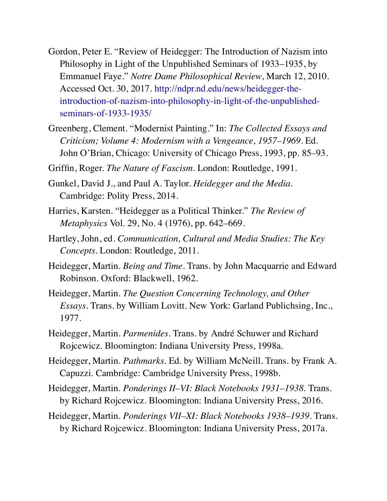- Gordon, Peter E. "Review of Heidegger: The Introduction of Nazism into Philosophy in Light of the Unpublished Seminars of 1933–1935, by Emmanuel Faye." *Notre Dame Philosophical Review*, March 12, 2010. Accessed Oct. 30, 2017. http://ndpr.nd.edu/news/heidegger-theintroduction-of-nazism-into-philosophy-in-light-of-the-unpublishedseminars-of-1933-1935/
- Greenberg, Clement. "Modernist Painting." In: *The Collected Essays and Criticism; Volume 4: Modernism with a Vengeance, 1957–1969*. Ed. John O'Brian, Chicago: University of Chicago Press, 1993, pp. 85–93.
- Griffin, Roger. *The Nature of Fascism*. London: Routledge, 1991.
- Gunkel, David J., and Paul A. Taylor. *Heidegger and the Media*. Cambridge: Polity Press, 2014.
- Harries, Karsten. "Heidegger as a Political Thinker." *The Review of Metaphysics* Vol. 29, No. 4 (1976), pp. 642–669.
- Hartley, John, ed. *Communication, Cultural and Media Studies: The Key Concepts*. London: Routledge, 2011.
- Heidegger, Martin. *Being and Time*. Trans. by John Macquarrie and Edward Robinson. Oxford: Blackwell, 1962.
- Heidegger, Martin. *The Question Concerning Technology, and Other Essays*. Trans. by William Lovitt. New York: Garland Publichsing, Inc., 1977.
- Heidegger, Martin. *Parmenides*. Trans. by André Schuwer and Richard Rojcewicz. Bloomington: Indiana University Press, 1998a.
- Heidegger, Martin. *Pathmarks*. Ed. by William McNeill. Trans. by Frank A. Capuzzi. Cambridge: Cambridge University Press, 1998b.
- Heidegger, Martin. *Ponderings II–VI: Black Notebooks 1931–1938*. Trans. by Richard Rojcewicz. Bloomington: Indiana University Press, 2016.
- Heidegger, Martin. *Ponderings VII–XI: Black Notebooks 1938–1939*. Trans. by Richard Rojcewicz. Bloomington: Indiana University Press, 2017a.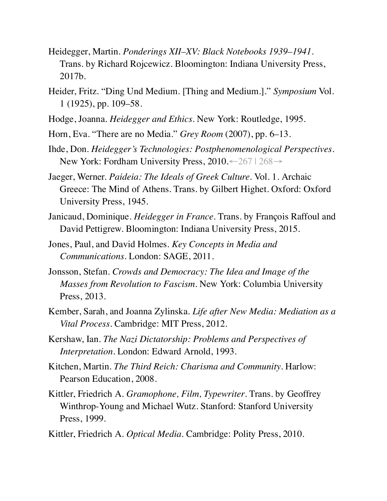- Heidegger, Martin. *Ponderings XII–XV: Black Notebooks 1939–1941*. Trans. by Richard Rojcewicz. Bloomington: Indiana University Press, 2017b.
- Heider, Fritz. "Ding Und Medium. [Thing and Medium.]." *Symposium* Vol. 1 (1925), pp. 109–58.
- Hodge, Joanna. *Heidegger and Ethics*. New York: Routledge, 1995.
- Horn, Eva. "There are no Media." *Grey Room* (2007), pp. 6–13.
- Ihde, Don. *Heidegger's Technologies: Postphenomenological Perspectives*. New York: Fordham University Press, 2010.←267 | 268→
- Jaeger, Werner. *Paideia: The Ideals of Greek Culture*. Vol. 1. Archaic Greece: The Mind of Athens. Trans. by Gilbert Highet. Oxford: Oxford University Press, 1945.
- Janicaud, Dominique. *Heidegger in France*. Trans. by François Raffoul and David Pettigrew. Bloomington: Indiana University Press, 2015.
- Jones, Paul, and David Holmes. *Key Concepts in Media and Communications*. London: SAGE, 2011.
- Jonsson, Stefan. *Crowds and Democracy: The Idea and Image of the Masses from Revolution to Fascism*. New York: Columbia University Press, 2013.
- Kember, Sarah, and Joanna Zylinska. *Life after New Media: Mediation as a Vital Process*. Cambridge: MIT Press, 2012.
- Kershaw, Ian. *The Nazi Dictatorship: Problems and Perspectives of Interpretation*. London: Edward Arnold, 1993.
- Kitchen, Martin. *The Third Reich: Charisma and Community*. Harlow: Pearson Education, 2008.
- Kittler, Friedrich A. *Gramophone, Film, Typewriter*. Trans. by Geoffrey Winthrop-Young and Michael Wutz. Stanford: Stanford University Press, 1999.
- Kittler, Friedrich A. *Optical Media*. Cambridge: Polity Press, 2010.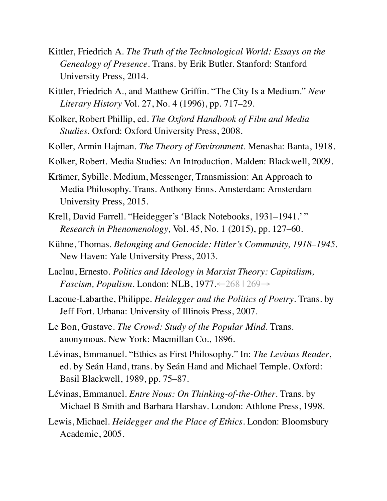- Kittler, Friedrich A. *The Truth of the Technological World: Essays on the Genealogy of Presence*. Trans. by Erik Butler. Stanford: Stanford University Press, 2014.
- Kittler, Friedrich A., and Matthew Griffin. "The City Is a Medium." *New Literary History* Vol. 27, No. 4 (1996), pp. 717–29.
- Kolker, Robert Phillip, ed. *The Oxford Handbook of Film and Media Studies*. Oxford: Oxford University Press, 2008.
- Koller, Armin Hajman. *The Theory of Environment*. Menasha: Banta, 1918.
- Kolker, Robert. Media Studies: An Introduction. Malden: Blackwell, 2009.
- Krämer, Sybille. Medium, Messenger, Transmission: An Approach to Media Philosophy. Trans. Anthony Enns. Amsterdam: Amsterdam University Press, 2015.
- Krell, David Farrell. "Heidegger's 'Black Notebooks, 1931–1941.' " *Research in Phenomenology*, Vol. 45, No. 1 (2015), pp. 127–60.
- Kühne, Thomas. *Belonging and Genocide: Hitler's Community, 1918–1945*. New Haven: Yale University Press, 2013.
- Laclau, Ernesto. *Politics and Ideology in Marxist Theory: Capitalism, Fascism, Populism*. London: NLB, 1977.←268 | 269→
- Lacoue-Labarthe, Philippe. *Heidegger and the Politics of Poetry*. Trans. by Jeff Fort. Urbana: University of Illinois Press, 2007.
- Le Bon, Gustave. *The Crowd: Study of the Popular Mind*. Trans. anonymous. New York: Macmillan Co., 1896.
- Lévinas, Emmanuel. "Ethics as First Philosophy." In: *The Levinas Reader*, ed. by Seán Hand, trans. by Seán Hand and Michael Temple. Oxford: Basil Blackwell, 1989, pp. 75–87.
- Lévinas, Emmanuel. *Entre Nous: On Thinking-of-the-Other*. Trans. by Michael B Smith and Barbara Harshav. London: Athlone Press, 1998.
- Lewis, Michael. *Heidegger and the Place of Ethics*. London: Bloomsbury Academic, 2005.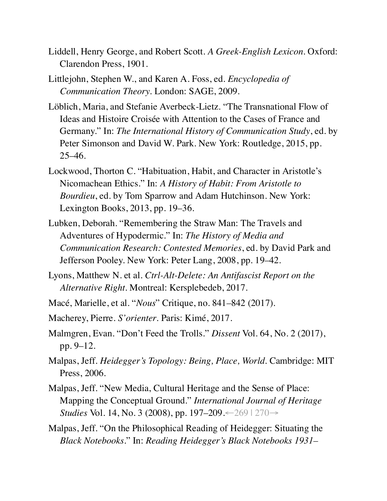- Liddell, Henry George, and Robert Scott. *A Greek-English Lexicon*. Oxford: Clarendon Press, 1901.
- Littlejohn, Stephen W., and Karen A. Foss, ed. *Encyclopedia of Communication Theory*. London: SAGE, 2009.
- Löblich, Maria, and Stefanie Averbeck-Lietz. "The Transnational Flow of Ideas and Histoire Croisée with Attention to the Cases of France and Germany." In: *The International History of Communication Study*, ed. by Peter Simonson and David W. Park. New York: Routledge, 2015, pp. 25–46.
- Lockwood, Thorton C. "Habituation, Habit, and Character in Aristotle's Nicomachean Ethics." In: *A History of Habit: From Aristotle to Bourdieu*, ed. by Tom Sparrow and Adam Hutchinson. New York: Lexington Books, 2013, pp. 19–36.
- Lubken, Deborah. "Remembering the Straw Man: The Travels and Adventures of Hypodermic." In: *The History of Media and Communication Research: Contested Memories*, ed. by David Park and Jefferson Pooley. New York: Peter Lang, 2008, pp. 19–42.
- Lyons, Matthew N. et al. *Ctrl-Alt-Delete: An Antifascist Report on the Alternative Right*. Montreal: Kersplebedeb, 2017.
- Macé, Marielle, et al. "*Nous*" Critique, no. 841–842 (2017).
- Macherey, Pierre. *S'orienter*. Paris: Kimé, 2017.
- Malmgren, Evan. "Don't Feed the Trolls." *Dissent* Vol. 64, No. 2 (2017), pp. 9–12.
- Malpas, Jeff. *Heidegger's Topology: Being, Place, World*. Cambridge: MIT Press, 2006.
- Malpas, Jeff. "New Media, Cultural Heritage and the Sense of Place: Mapping the Conceptual Ground." *International Journal of Heritage Studies* Vol. 14, No. 3 (2008), pp. 197–209.←269 | 270→
- Malpas, Jeff. "On the Philosophical Reading of Heidegger: Situating the *Black Notebooks*." In: *Reading Heidegger's Black Notebooks 1931–*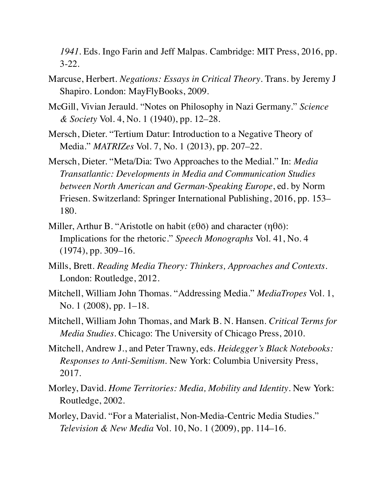*1941*. Eds. Ingo Farin and Jeff Malpas. Cambridge: MIT Press, 2016, pp. 3-22.

- Marcuse, Herbert. *Negations: Essays in Critical Theory*. Trans. by Jeremy J Shapiro. London: MayFlyBooks, 2009.
- McGill, Vivian Jerauld. "Notes on Philosophy in Nazi Germany." *Science & Society* Vol. 4, No. 1 (1940), pp. 12–28.
- Mersch, Dieter. "Tertium Datur: Introduction to a Negative Theory of Media." *MATRIZes* Vol. 7, No. 1 (2013), pp. 207–22.
- Mersch, Dieter. "Meta/Dia: Two Approaches to the Medial." In: *Media Transatlantic: Developments in Media and Communication Studies between North American and German-Speaking Europe*, ed. by Norm Friesen. Switzerland: Springer International Publishing, 2016, pp. 153– 180.
- Miller, Arthur B. "Aristotle on habit (εθō) and character ( $\eta$ θō): Implications for the rhetoric." *Speech Monographs* Vol. 41, No. 4 (1974), pp. 309–16.
- Mills, Brett. *Reading Media Theory: Thinkers, Approaches and Contexts*. London: Routledge, 2012.
- Mitchell, William John Thomas. "Addressing Media." *MediaTropes* Vol. 1, No. 1 (2008), pp. 1–18.
- Mitchell, William John Thomas, and Mark B. N. Hansen. *Critical Terms for Media Studies*. Chicago: The University of Chicago Press, 2010.
- Mitchell, Andrew J., and Peter Trawny, eds. *Heidegger's Black Notebooks: Responses to Anti-Semitism*. New York: Columbia University Press, 2017.
- Morley, David. *Home Territories: Media, Mobility and Identity*. New York: Routledge, 2002.
- Morley, David. "For a Materialist, Non-Media-Centric Media Studies." *Television & New Media* Vol. 10, No. 1 (2009), pp. 114–16.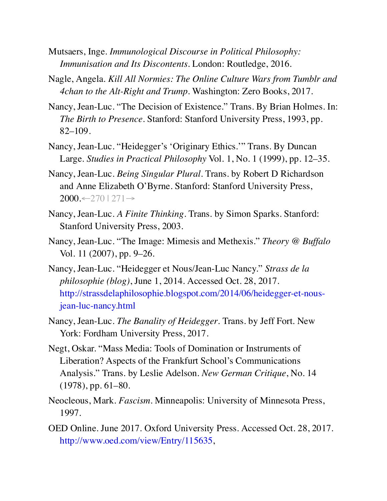- Mutsaers, Inge. *Immunological Discourse in Political Philosophy: Immunisation and Its Discontents*. London: Routledge, 2016.
- Nagle, Angela. *Kill All Normies: The Online Culture Wars from Tumblr and 4chan to the Alt-Right and Trump*. Washington: Zero Books, 2017.
- Nancy, Jean-Luc. "The Decision of Existence." Trans. By Brian Holmes. In: *The Birth to Presence*. Stanford: Stanford University Press, 1993, pp. 82–109.
- Nancy, Jean-Luc. "Heidegger's 'Originary Ethics.'" Trans. By Duncan Large. *Studies in Practical Philosophy* Vol. 1, No. 1 (1999), pp. 12–35.
- Nancy, Jean-Luc. *Being Singular Plural*. Trans. by Robert D Richardson and Anne Elizabeth O'Byrne. Stanford: Stanford University Press,  $2000 \leftarrow 270 \mid 271 \rightarrow$
- Nancy, Jean-Luc. *A Finite Thinking*. Trans. by Simon Sparks. Stanford: Stanford University Press, 2003.
- Nancy, Jean-Luc. "The Image: Mimesis and Methexis." *Theory @ Buffalo* Vol. 11 (2007), pp. 9–26.
- Nancy, Jean-Luc. "Heidegger et Nous/Jean-Luc Nancy." *Strass de la philosophie (blog)*, June 1, 2014. Accessed Oct. 28, 2017. http://strassdelaphilosophie.blogspot.com/2014/06/heidegger-et-nousjean-luc-nancy.html
- Nancy, Jean-Luc. *The Banality of Heidegger*. Trans. by Jeff Fort. New York: Fordham University Press, 2017.
- Negt, Oskar. "Mass Media: Tools of Domination or Instruments of Liberation? Aspects of the Frankfurt School's Communications Analysis." Trans. by Leslie Adelson. *New German Critique*, No. 14 (1978), pp. 61–80.
- Neocleous, Mark. *Fascism*. Minneapolis: University of Minnesota Press, 1997.
- OED Online. June 2017. Oxford University Press. Accessed Oct. 28, 2017. http://www.oed.com/view/Entry/115635,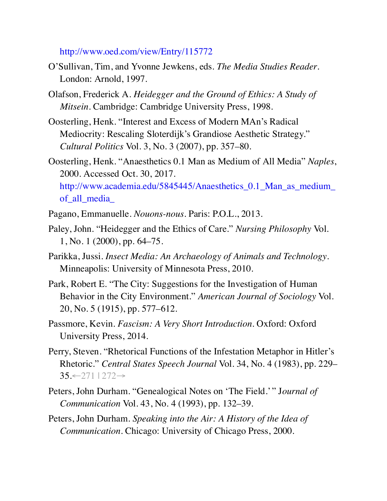#### http://www.oed.com/view/Entry/115772

- O'Sullivan, Tim, and Yvonne Jewkens, eds. *The Media Studies Reader*. London: Arnold, 1997.
- Olafson, Frederick A. *Heidegger and the Ground of Ethics: A Study of Mitsein*. Cambridge: Cambridge University Press, 1998.
- Oosterling, Henk. "Interest and Excess of Modern MAn's Radical Mediocrity: Rescaling Sloterdijk's Grandiose Aesthetic Strategy." *Cultural Politics* Vol. 3, No. 3 (2007), pp. 357–80.
- Oosterling, Henk. "Anaesthetics 0.1 Man as Medium of All Media" *Naples*, 2000. Accessed Oct. 30, 2017. http://www.academia.edu/5845445/Anaesthetics\_0.1\_Man\_as\_medium\_ of\_all\_media\_
- Pagano, Emmanuelle. *Nouons-nous*. Paris: P.O.L., 2013.
- Paley, John. "Heidegger and the Ethics of Care." *Nursing Philosophy* Vol. 1, No. 1 (2000), pp. 64–75.
- Parikka, Jussi. *Insect Media: An Archaeology of Animals and Technology*. Minneapolis: University of Minnesota Press, 2010.
- Park, Robert E. "The City: Suggestions for the Investigation of Human Behavior in the City Environment." *American Journal of Sociology* Vol. 20, No. 5 (1915), pp. 577–612.
- Passmore, Kevin. *Fascism: A Very Short Introduction*. Oxford: Oxford University Press, 2014.
- Perry, Steven. "Rhetorical Functions of the Infestation Metaphor in Hitler's Rhetoric." *Central States Speech Journal* Vol. 34, No. 4 (1983), pp. 229– 35.←271 | 272→
- Peters, John Durham. "Genealogical Notes on 'The Field.' " J*ournal of Communication* Vol. 43, No. 4 (1993), pp. 132–39.
- Peters, John Durham. *Speaking into the Air: A History of the Idea of Communication*. Chicago: University of Chicago Press, 2000.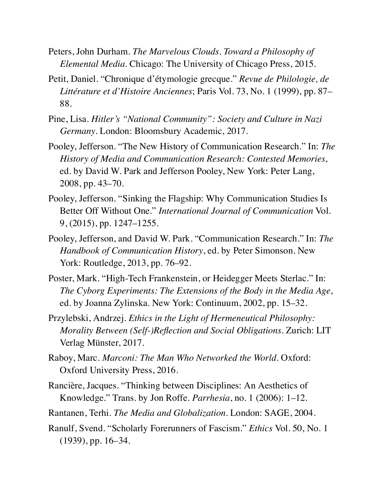- Peters, John Durham. *The Marvelous Clouds. Toward a Philosophy of Elemental Media*. Chicago: The University of Chicago Press, 2015.
- Petit, Daniel. "Chronique d'étymologie grecque." *Revue de Philologie, de Littérature et d'Histoire Anciennes*; Paris Vol. 73, No. 1 (1999), pp. 87– 88.
- Pine, Lisa. *Hitler's "National Community": Society and Culture in Nazi Germany*. London: Bloomsbury Academic, 2017.
- Pooley, Jefferson. "The New History of Communication Research." In: *The History of Media and Communication Research: Contested Memories*, ed. by David W. Park and Jefferson Pooley, New York: Peter Lang, 2008, pp. 43–70.
- Pooley, Jefferson. "Sinking the Flagship: Why Communication Studies Is Better Off Without One." *International Journal of Communication* Vol. 9, (2015), pp. 1247–1255.
- Pooley, Jefferson, and David W. Park. "Communication Research." In: *The Handbook of Communication History*, ed. by Peter Simonson. New York: Routledge, 2013, pp. 76–92.
- Poster, Mark. "High-Tech Frankenstein, or Heidegger Meets Sterlac." In: *The Cyborg Experiments: The Extensions of the Body in the Media Age*, ed. by Joanna Zylinska. New York: Continuum, 2002, pp. 15–32.
- Przylebski, Andrzej. *Ethics in the Light of Hermeneutical Philosophy: Morality Between (Self-)Reflection and Social Obligations*. Zurich: LIT Verlag Münster, 2017.
- Raboy, Marc. *Marconi: The Man Who Networked the World*. Oxford: Oxford University Press, 2016.
- Rancière, Jacques. "Thinking between Disciplines: An Aesthetics of Knowledge." Trans. by Jon Roffe. *Parrhesia*, no. 1 (2006): 1–12.
- Rantanen, Terhi. *The Media and Globalization*. London: SAGE, 2004.
- Ranulf, Svend. "Scholarly Forerunners of Fascism." *Ethics* Vol. 50, No. 1 (1939), pp. 16–34.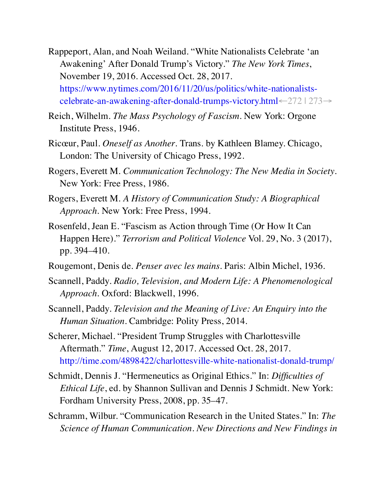- Rappeport, Alan, and Noah Weiland. "White Nationalists Celebrate 'an Awakening' After Donald Trump's Victory." *The New York Times*, November 19, 2016. Accessed Oct. 28, 2017. https://www.nytimes.com/2016/11/20/us/politics/white-nationalistscelebrate-an-awakening-after-donald-trumps-victory.html←272 | 273→
- Reich, Wilhelm. *The Mass Psychology of Fascism*. New York: Orgone Institute Press, 1946.
- Ricœur, Paul. *Oneself as Another*. Trans. by Kathleen Blamey. Chicago, London: The University of Chicago Press, 1992.
- Rogers, Everett M. *Communication Technology: The New Media in Society*. New York: Free Press, 1986.
- Rogers, Everett M. *A History of Communication Study: A Biographical Approach*. New York: Free Press, 1994.
- Rosenfeld, Jean E. "Fascism as Action through Time (Or How It Can Happen Here)." *Terrorism and Political Violence* Vol. 29, No. 3 (2017), pp. 394–410.
- Rougemont, Denis de. *Penser avec les mains*. Paris: Albin Michel, 1936.
- Scannell, Paddy. *Radio, Television, and Modern Life: A Phenomenological Approach*. Oxford: Blackwell, 1996.
- Scannell, Paddy. *Television and the Meaning of Live: An Enquiry into the Human Situation*. Cambridge: Polity Press, 2014.
- Scherer, Michael. "President Trump Struggles with Charlottesville Aftermath." *Time*, August 12, 2017. Accessed Oct. 28, 2017. http://time.com/4898422/charlottesville-white-nationalist-donald-trump/
- Schmidt, Dennis J. "Hermeneutics as Original Ethics." In: *Difficulties of Ethical Life*, ed. by Shannon Sullivan and Dennis J Schmidt. New York: Fordham University Press, 2008, pp. 35–47.
- Schramm, Wilbur. "Communication Research in the United States." In: *The Science of Human Communication. New Directions and New Findings in*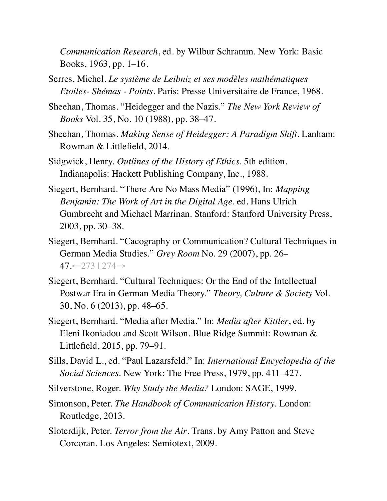*Communication Research*, ed. by Wilbur Schramm. New York: Basic Books, 1963, pp. 1–16.

- Serres, Michel. *Le système de Leibniz et ses modèles mathématiques Etoiles- Shémas - Points*. Paris: Presse Universitaire de France, 1968.
- Sheehan, Thomas. "Heidegger and the Nazis." *The New York Review of Books* Vol. 35, No. 10 (1988), pp. 38–47.
- Sheehan, Thomas. *Making Sense of Heidegger: A Paradigm Shift*. Lanham: Rowman & Littlefield, 2014.
- Sidgwick, Henry. *Outlines of the History of Ethics*. 5th edition. Indianapolis: Hackett Publishing Company, Inc., 1988.
- Siegert, Bernhard. "There Are No Mass Media" (1996), In: *Mapping Benjamin: The Work of Art in the Digital Age*. ed. Hans Ulrich Gumbrecht and Michael Marrinan. Stanford: Stanford University Press, 2003, pp. 30–38.
- Siegert, Bernhard. "Cacography or Communication? Cultural Techniques in German Media Studies." *Grey Room* No. 29 (2007), pp. 26– 47.←273 | 274→
- Siegert, Bernhard. "Cultural Techniques: Or the End of the Intellectual Postwar Era in German Media Theory." *Theory, Culture & Society* Vol. 30, No. 6 (2013), pp. 48–65.
- Siegert, Bernhard. "Media after Media." In: *Media after Kittler*, ed. by Eleni Ikoniadou and Scott Wilson. Blue Ridge Summit: Rowman & Littlefield, 2015, pp. 79–91.
- Sills, David L., ed. "Paul Lazarsfeld." In: *International Encyclopedia of the Social Sciences*. New York: The Free Press, 1979, pp. 411–427.
- Silverstone, Roger. *Why Study the Media?* London: SAGE, 1999.
- Simonson, Peter. *The Handbook of Communication History*. London: Routledge, 2013.
- Sloterdijk, Peter. *Terror from the Air*. Trans. by Amy Patton and Steve Corcoran. Los Angeles: Semiotext, 2009.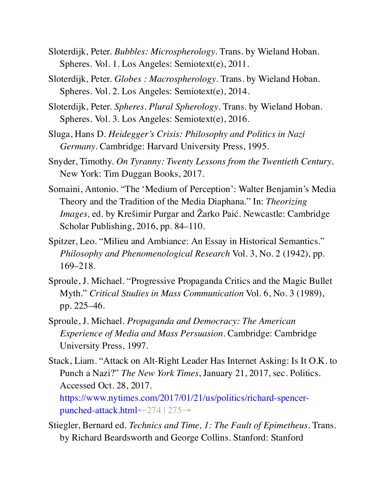- Sloterdijk, Peter. *Bubbles: Microspherology*. Trans. by Wieland Hoban. Spheres. Vol. 1. Los Angeles: Semiotext(e), 2011.
- Sloterdijk, Peter. *Globes : Macrospherology*. Trans. by Wieland Hoban. Spheres. Vol. 2. Los Angeles: Semiotext(e), 2014.
- Sloterdijk, Peter. *Spheres. Plural Spherology*. Trans. by Wieland Hoban. Spheres. Vol. 3. Los Angeles: Semiotext(e), 2016.
- Sluga, Hans D. *Heidegger's Crisis: Philosophy and Politics in Nazi Germany*. Cambridge: Harvard University Press, 1995.
- Snyder, Timothy. *On Tyranny: Twenty Lessons from the Twentieth Century*. New York: Tim Duggan Books, 2017.
- Somaini, Antonio. "The 'Medium of Perception': Walter Benjamin's Media Theory and the Tradition of the Media Diaphana." In: *Theorizing Images,* ed. by Krešimir Purgar and Žarko Paić. Newcastle: Cambridge Scholar Publishing, 2016, pp. 84–110.
- Spitzer, Leo. "Milieu and Ambiance: An Essay in Historical Semantics." *Philosophy and Phenomenological Research* Vol. 3, No. 2 (1942), pp. 169–218.
- Sproule, J. Michael. "Progressive Propaganda Critics and the Magic Bullet Myth." *Critical Studies in Mass Communication* Vol. 6, No. 3 (1989), pp. 225–46.
- Sproule, J. Michael. *Propaganda and Democracy: The American Experience of Media and Mass Persuasion*. Cambridge: Cambridge University Press, 1997.
- Stack, Liam. "Attack on Alt-Right Leader Has Internet Asking: Is It O.K. to Punch a Nazi?" *The New York Times*, January 21, 2017, sec. Politics. Accessed Oct. 28, 2017.

https://www.nytimes.com/2017/01/21/us/politics/richard-spencerpunched-attack.html←274 | 275→

Stiegler, Bernard ed. *Technics and Time, 1: The Fault of Epimetheus*. Trans. by Richard Beardsworth and George Collins. Stanford: Stanford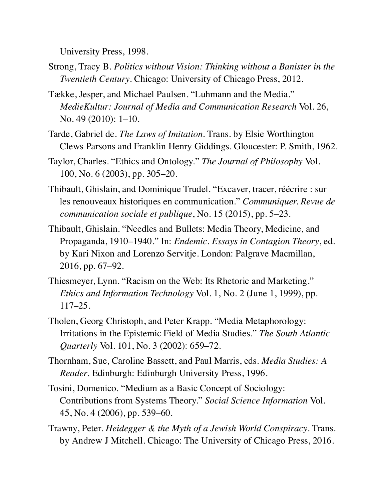University Press, 1998.

- Strong, Tracy B. *Politics without Vision: Thinking without a Banister in the Twentieth Century*. Chicago: University of Chicago Press, 2012.
- Tække, Jesper, and Michael Paulsen. "Luhmann and the Media." *MedieKultur: Journal of Media and Communication Research* Vol. 26, No. 49 (2010): 1–10.
- Tarde, Gabriel de. *The Laws of Imitation*. Trans. by Elsie Worthington Clews Parsons and Franklin Henry Giddings. Gloucester: P. Smith, 1962.
- Taylor, Charles. "Ethics and Ontology." *The Journal of Philosophy* Vol. 100, No. 6 (2003), pp. 305–20.
- Thibault, Ghislain, and Dominique Trudel. "Excaver, tracer, réécrire : sur les renouveaux historiques en communication." *Communiquer. Revue de communication sociale et publique*, No. 15 (2015), pp. 5–23.
- Thibault, Ghislain. "Needles and Bullets: Media Theory, Medicine, and Propaganda, 1910–1940." In: *Endemic. Essays in Contagion Theory*, ed. by Kari Nixon and Lorenzo Servitje. London: Palgrave Macmillan, 2016, pp. 67–92.
- Thiesmeyer, Lynn. "Racism on the Web: Its Rhetoric and Marketing." *Ethics and Information Technology* Vol. 1, No. 2 (June 1, 1999), pp. 117–25.
- Tholen, Georg Christoph, and Peter Krapp. "Media Metaphorology: Irritations in the Epistemic Field of Media Studies." *The South Atlantic Quarterly* Vol. 101, No. 3 (2002): 659–72.
- Thornham, Sue, Caroline Bassett, and Paul Marris, eds. *Media Studies: A Reader*. Edinburgh: Edinburgh University Press, 1996.
- Tosini, Domenico. "Medium as a Basic Concept of Sociology: Contributions from Systems Theory." *Social Science Information* Vol. 45, No. 4 (2006), pp. 539–60.
- Trawny, Peter. *Heidegger & the Myth of a Jewish World Conspiracy*. Trans. by Andrew J Mitchell. Chicago: The University of Chicago Press, 2016.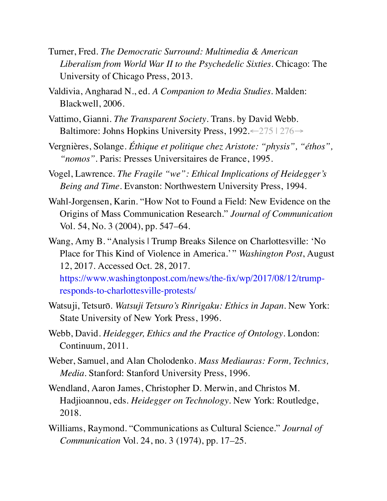- Turner, Fred. *The Democratic Surround: Multimedia & American Liberalism from World War II to the Psychedelic Sixties*. Chicago: The University of Chicago Press, 2013.
- Valdivia, Angharad N., ed. *A Companion to Media Studies*. Malden: Blackwell, 2006.
- Vattimo, Gianni. *The Transparent Society*. Trans. by David Webb. Baltimore: Johns Hopkins University Press, 1992.←275 | 276→
- Vergnières, Solange. *Éthique et politique chez Aristote: "physis", "éthos", "nomos"*. Paris: Presses Universitaires de France, 1995.
- Vogel, Lawrence. *The Fragile "we": Ethical Implications of Heidegger's Being and Time*. Evanston: Northwestern University Press, 1994.
- Wahl-Jorgensen, Karin. "How Not to Found a Field: New Evidence on the Origins of Mass Communication Research." *Journal of Communication* Vol. 54, No. 3 (2004), pp. 547–64.
- Wang, Amy B. "Analysis | Trump Breaks Silence on Charlottesville: 'No Place for This Kind of Violence in America.' " *Washington Post*, August 12, 2017. Accessed Oct. 28, 2017. https://www.washingtonpost.com/news/the-fix/wp/2017/08/12/trumpresponds-to-charlottesville-protests/
- Watsuji, Tetsurō. *Watsuji Tetsuro's Rinrigaku: Ethics in Japan*. New York: State University of New York Press, 1996.
- Webb, David. *Heidegger, Ethics and the Practice of Ontology*. London: Continuum, 2011.
- Weber, Samuel, and Alan Cholodenko. *Mass Mediauras: Form, Technics, Media*. Stanford: Stanford University Press, 1996.
- Wendland, Aaron James, Christopher D. Merwin, and Christos M. Hadjioannou, eds. *Heidegger on Technology*. New York: Routledge, 2018.
- Williams, Raymond. "Communications as Cultural Science." *Journal of Communication* Vol. 24, no. 3 (1974), pp. 17–25.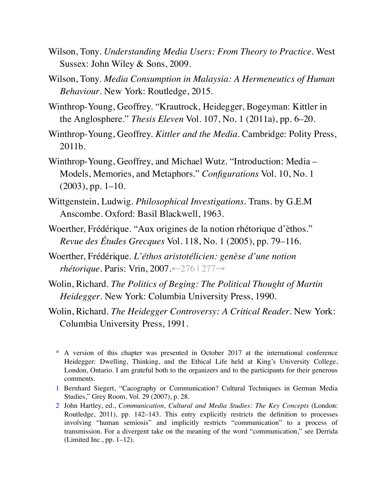- Wilson, Tony. *Understanding Media Users: From Theory to Practice*. West Sussex: John Wiley & Sons, 2009.
- Wilson, Tony. *Media Consumption in Malaysia: A Hermeneutics of Human Behaviour*. New York: Routledge, 2015.
- Winthrop-Young, Geoffrey. "Krautrock, Heidegger, Bogeyman: Kittler in the Anglosphere." *Thesis Eleven* Vol. 107, No. 1 (2011a), pp. 6–20.
- Winthrop-Young, Geoffrey. *Kittler and the Media*. Cambridge: Polity Press, 2011b.
- Winthrop-Young, Geoffrey, and Michael Wutz. "Introduction: Media Models, Memories, and Metaphors." *Configurations* Vol. 10, No. 1 (2003), pp. 1–10.
- Wittgenstein, Ludwig. *Philosophical Investigations*. Trans. by G.E.M Anscombe. Oxford: Basil Blackwell, 1963.
- Woerther, Frédérique. "Aux origines de la notion rhétorique d'èthos." *Revue des Études Grecques* Vol. 118, No. 1 (2005), pp. 79–116.
- Woerther, Frédérique. *L'éthos aristotélicien: genèse d'une notion rhétorique*. Paris: Vrin, 2007.←276 | 277→
- Wolin, Richard. *The Politics of Beging: The Political Thought of Martin Heidegger*. New York: Columbia University Press, 1990.
- Wolin, Richard. *The Heidegger Controversy: A Critical Reader*. New York: Columbia University Press, 1991.

- 1 Bernhard Siegert, "Cacography or Communication? Cultural Techniques in German Media Studies," Grey Room, Vol. 29 (2007), p. 28.
- 2 John Hartley, ed., *Communication, Cultural and Media Studies: The Key Concepts* (London: Routledge, 2011), pp. 142–143. This entry explicitly restricts the definition to processes involving "human semiosis" and implicitly restricts "communication" to a process of transmission. For a divergent take on the meaning of the word "communication," see Derrida (Limited Inc., pp. 1–12).

<sup>\*</sup> A version of this chapter was presented in October 2017 at the international conference Heidegger: Dwelling, Thinking, and the Ethical Life held at King's University College, London, Ontario. I am grateful both to the organizers and to the participants for their generous comments.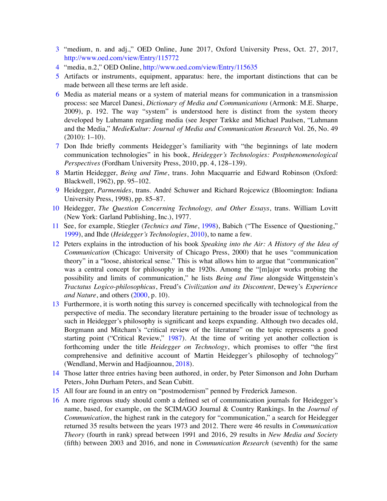- 3 "medium, n. and adj.," OED Online, June 2017, Oxford University Press, Oct. 27, 2017, http://www.oed.com/view/Entry/115772
- 4 "media, n.2," OED Online, http://www.oed.com/view/Entry/115635
- 5 Artifacts or instruments, equipment, apparatus: here, the important distinctions that can be made between all these terms are left aside.
- 6 Media as material means or a system of material means for communication in a transmission process: see Marcel Danesi, *Dictionary of Media and Communications* (Armonk: M.E. Sharpe, 2009), p. 192. The way "system" is understood here is distinct from the system theory developed by Luhmann regarding media (see Jesper Tække and Michael Paulsen, "Luhmann and the Media," *MedieKultur: Journal of Media and Communication Research* Vol. 26, No. 49 (2010): 1–10).
- 7 Don Ihde briefly comments Heidegger's familiarity with "the beginnings of late modern communication technologies" in his book, *Heidegger's Technologies: Postphenomenological Perspectives* (Fordham University Press, 2010, pp. 4, 128–139).
- 8 Martin Heidegger, *Being and Time*, trans. John Macquarrie and Edward Robinson (Oxford: Blackwell, 1962), pp. 95–102.
- 9 Heidegger, *Parmenides*, trans. André Schuwer and Richard Rojcewicz (Bloomington: Indiana University Press, 1998), pp. 85–87.
- 10 Heidegger, *The Question Concerning Technology, and Other Essays*, trans. William Lovitt (New York: Garland Publishing, Inc.), 1977.
- 11 See, for example, Stiegler (*Technics and Time*, 1998), Babich ("The Essence of Questioning," 1999), and Ihde (*Heidegger's Technologies*, 2010), to name a few.
- 12 Peters explains in the introduction of his book *Speaking into the Air: A History of the Idea of Communication* (Chicago: University of Chicago Press, 2000) that he uses "communication theory" in a "loose, ahistorical sense." This is what allows him to argue that "communication" was a central concept for philosophy in the 1920s. Among the "[m] ajor works probing the possibility and limits of communication," he lists *Being and Time* alongside Wittgenstein's *Tractatus Logico-philosophicus*, Freud's *Civilization and its Discontent*, Dewey's *Experience and Nature*, and others (2000, p. 10).
- 13 Furthermore, it is worth noting this survey is concerned specifically with technological from the perspective of media. The secondary literature pertaining to the broader issue of technology as such in Heidegger's philosophy is significant and keeps expanding. Although two decades old, Borgmann and Mitcham's "critical review of the literature" on the topic represents a good starting point ("Critical Review," 1987). At the time of writing yet another collection is forthcoming under the title *Heidegger on Technology*, which promises to offer "the first comprehensive and definitive account of Martin Heidegger's philosophy of technology" (Wendland, Merwin and Hadjioannou, 2018).
- 14 Those latter three entries having been authored, in order, by Peter Simonson and John Durham Peters, John Durham Peters, and Sean Cubitt.
- 15 All four are found in an entry on "postmodernism" penned by Frederick Jameson.
- 16 A more rigorous study should comb a defined set of communication journals for Heidegger's name, based, for example, on the SCIMAGO Journal & Country Rankings. In the *Journal of Communication*, the highest rank in the category for "communication," a search for Heidegger returned 35 results between the years 1973 and 2012. There were 46 results in *Communication Theory* (fourth in rank) spread between 1991 and 2016, 29 results in *New Media and Society* (fifth) between 2003 and 2016, and none in *Communication Research* (seventh) for the same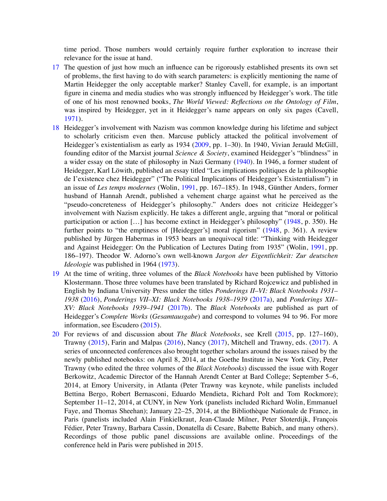time period. Those numbers would certainly require further exploration to increase their relevance for the issue at hand.

- 17 The question of just how much an influence can be rigorously established presents its own set of problems, the first having to do with search parameters: is explicitly mentioning the name of Martin Heidegger the only acceptable marker? Stanley Cavell, for example, is an important figure in cinema and media studies who was strongly influenced by Heidegger's work. The title of one of his most renowned books, *The World Viewed: Reflections on the Ontology of Film*, was inspired by Heidegger, yet in it Heidegger's name appears on only six pages (Cavell, 1971).
- 18 Heidegger's involvement with Nazism was common knowledge during his lifetime and subject to scholarly criticism even then. Marcuse publicly attacked the political involvement of Heidegger's existentialism as early as 1934 (2009, pp. 1–30). In 1940, Vivian Jerauld McGill, founding editor of the Marxist journal *Science & Society*, examined Heidegger's "blindness" in a wider essay on the state of philosophy in Nazi Germany (1940). In 1946, a former student of Heidegger, Karl Löwith, published an essay titled "Les implications politiques de la philosophie de I'existence chez Heidegger" ("The Political Implications of Heidegger's Existentialism") in an issue of *Les temps modernes* (Wolin, 1991, pp. 167–185). In 1948, Günther Anders, former husband of Hannah Arendt, published a vehement charge against what he perceived as the "pseudo-concreteness of Heidegger's philosophy." Anders does not criticize Heidegger's involvement with Nazism explicitly. He takes a different angle, arguing that "moral or political participation or action [...] has become extinct in Heidegger's philosophy" (1948, p. 350). He further points to "the emptiness of [Heidegger's] moral rigorism" (1948, p. 361). A review published by Jürgen Habermas in 1953 bears an unequivocal title: "Thinking with Heidegger and Against Heidegger: On the Publication of Lectures Dating from 1935" (Wolin, 1991, pp. 186–197). Theodor W. Adorno's own well-known *Jargon der Eigentlichkeit: Zur deutschen Ideologie* was published in 1964 (1973).
- 19 At the time of writing, three volumes of the *Black Notebooks* have been published by Vittorio Klostermann. Those three volumes have been translated by Richard Rojcewicz and published in English by Indiana University Press under the titles *Ponderings II–VI: Black Notebooks 1931– 1938* (2016), *Ponderings VII–XI: Black Notebooks 1938–1939* (2017a), and *Ponderings XII– XV: Black Notebooks 1939–1941* (2017b). The *Black Notebooks* are published as part of Heidegger's *Complete Works* (*Gesamtausgabe*) and correspond to volumes 94 to 96. For more information, see Escudero (2015).
- 20 For reviews of and discussion about *The Black Notebooks*, see Krell (2015, pp. 127–160), Trawny (2015), Farin and Malpas (2016), Nancy (2017), Mitchell and Trawny, eds. (2017). A series of unconnected conferences also brought together scholars around the issues raised by the newly published notebooks: on April 8, 2014, at the Goethe Institute in New York City, Peter Trawny (who edited the three volumes of the *Black Notebooks*) discussed the issue with Roger Berkowitz, Academic Director of the Hannah Arendt Center at Bard College; September 5–6, 2014, at Emory University, in Atlanta (Peter Trawny was keynote, while panelists included Bettina Bergo, Robert Bernasconi, Eduardo Mendieta, Richard Polt and Tom Rockmore); September 11–12, 2014, at CUNY, in New York (panelists included Richard Wolin, Emmanuel Faye, and Thomas Sheehan); January 22–25, 2014, at the Bibliothèque Nationale de France, in Paris (panelists included Alain Finkielkraut, Jean-Claude Milner, Peter Sloterdijk, François Fédier, Peter Trawny, Barbara Cassin, Donatella di Cesare, Babette Babich, and many others). Recordings of those public panel discussions are available online. Proceedings of the conference held in Paris were published in 2015.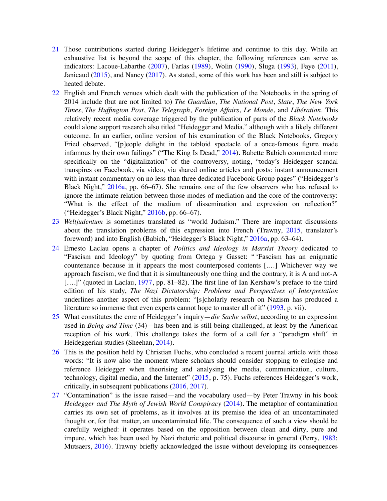- 21 Those contributions started during Heidegger's lifetime and continue to this day. While an exhaustive list is beyond the scope of this chapter, the following references can serve as indicators: Lacoue-Labarthe (2007), Farías (1989), Wolin (1990), Sluga (1993), Faye (2011), Janicaud (2015), and Nancy (2017). As stated, some of this work has been and still is subject to heated debate.
- 22 English and French venues which dealt with the publication of the Notebooks in the spring of 2014 include (but are not limited to) *The Guardian*, *The National Post*, *Slate*, *The New York Times*, *The Huffington Post*, *The Telegraph*, *Foreign Affairs*, *Le Monde*, and *Libération*. This relatively recent media coverage triggered by the publication of parts of the *Black Notebooks* could alone support research also titled "Heidegger and Media," although with a likely different outcome. In an earlier, online version of his examination of the Black Notebooks, Gregory Fried observed, "[p]eople delight in the tabloid spectacle of a once-famous figure made infamous by their own failings" ("The King Is Dead," 2014). Babette Babich commented more specifically on the "digitalization" of the controversy, noting, "today's Heidegger scandal transpires on Facebook, via video, via shared online articles and posts: instant announcement with instant commentary on no less than three dedicated Facebook Group pages" ("Heidegger's Black Night," 2016a, pp. 66–67). She remains one of the few observers who has refused to ignore the intimate relation between those modes of mediation and the core of the controversy: "What is the effect of the medium of dissemination and expression on reflection?" ("Heidegger's Black Night," 2016b, pp. 66–67).
- 23 *Weltjudentum* is sometimes translated as "world Judaism." There are important discussions about the translation problems of this expression into French (Trawny, 2015, translator's foreword) and into English (Babich, "Heidegger's Black Night," 2016a, pp. 63–64).
- 24 Ernesto Laclau opens a chapter of *Politics and Ideology in Marxist Theory* dedicated to "Fascism and Ideology" by quoting from Ortega y Gasset: " 'Fascism has an enigmatic countenance because in it appears the most counterposed contents [.…] Whichever way we approach fascism, we find that it is simultaneously one thing and the contrary, it is A and not-A [....]" (quoted in Laclau, 1977, pp. 81–82). The first line of Ian Kershaw's preface to the third edition of his study, *The Nazi Dictatorship: Problems and Perspectives of Interpretation* underlines another aspect of this problem: "[s]cholarly research on Nazism has produced a literature so immense that even experts cannot hope to master all of it" (1993, p. vii).
- 25 What constitutes the core of Heidegger's inquiry—*die Sache selbst*, according to an expression used in *Being and Time* (34)—has been and is still being challenged, at least by the American reception of his work. This challenge takes the form of a call for a "paradigm shift" in Heideggerian studies (Sheehan, 2014).
- 26 This is the position held by Christian Fuchs, who concluded a recent journal article with those words: "It is now also the moment where scholars should consider stopping to eulogise and reference Heidegger when theorising and analysing the media, communication, culture, technology, digital media, and the Internet" (2015, p. 75). Fuchs references Heidegger's work, critically, in subsequent publications (2016, 2017).
- 27 "Contamination" is the issue raised—and the vocabulary used—by Peter Trawny in his book *Heidegger and The Myth of Jewish World Conspiracy* (2014). The metaphor of contamination carries its own set of problems, as it involves at its premise the idea of an uncontaminated thought or, for that matter, an uncontaminated life. The consequence of such a view should be carefully weighed: it operates based on the opposition between clean and dirty, pure and impure, which has been used by Nazi rhetoric and political discourse in general (Perry, 1983; Mutsaers, 2016). Trawny briefly acknowledged the issue without developing its consequences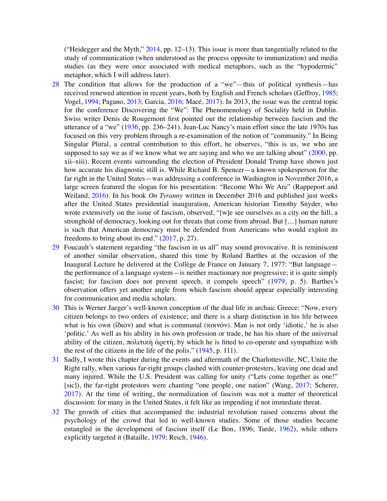("Heidegger and the Myth," 2014, pp. 12–13). This issue is more than tangentially related to the study of communication (when understood as the process opposite to immunization) and media studies (as they were once associated with medical metaphors, such as the "hypodermic" metaphor, which I will address later).

- 28 The condition that allows for the production of a "we"—thus of political synthesis—has received renewed attention in recent years, both by English and French scholars (Geffroy, 1985; Vogel, 1994; Pagano, 2013; Garcia, 2016; Macé, 2017). In 2013, the issue was the central topic for the conference Discovering the "We": The Phenomenology of Sociality held in Dublin. Swiss writer Denis de Rougemont first pointed out the relationship between fascism and the utterance of a "we" (1936, pp. 236–241). Jean-Luc Nancy's main effort since the late 1970s has focused on this very problem through a re-examination of the notion of "community." In Being Singular Plural, a central contribution to this effort, he observes, "this is us, we who are supposed to say we as if we know what we are saying and who we are talking about" (2000, pp. xii–xiii). Recent events surrounding the election of President Donald Trump have shown just how accurate his diagnostic still is. While Richard B. Spencer—a known spokesperson for the far right in the United States—was addressing a conference in Washington in November 2016, a large screen featured the slogan for his presentation: "Become Who We Are" (Rappeport and Weiland, 2016). In his book *On Tyranny* written in December 2016 and published just weeks after the United States presidential inauguration, American historian Timothy Snyder, who wrote extensively on the issue of fascism, observed, "[w]e see ourselves as a city on the hill, a stronghold of democracy, looking out for threats that come from abroad. But […] human nature is such that American democracy must be defended from Americans who would exploit its freedoms to bring about its end." (2017, p. 27).
- 29 Foucault's statement regarding "the fascism in us all" may sound provocative. It is reminiscent of another similar observation, shared this time by Roland Barthes at the occasion of the Inaugural Lecture he delivered at the Collège de France on January 7, 1977: "But language the performance of a language system—is neither reactionary nor progressive; it is quite simply fascist; for fascism does not prevent speech, it compels speech" (1979, p. 5). Barthes's observation offers yet another angle from which fascism should appear especially interesting for communication and media scholars.
- 30 This is Werner Jaeger's well-known conception of the dual life in archaic Greece: "Now, every citizen belongs to two orders of existence; and there is a sharp distinction in his life between what is his own (ἴδιον) and what is communal (κοινόν). Man is not only 'idiotic,' he is also 'politic.' As well as his ability in his own profession or trade, he has his share of the universal ability of the citizen, πολιτικὴ ἀρετή, by which he is fitted to co-operate and sympathize with the rest of the citizens in the life of the polis." (1945, p. 111).
- 31 Sadly, I wrote this chapter during the events and aftermath of the Charlottesville, NC, Unite the Right rally, when various far-right groups clashed with counter-protesters, leaving one dead and many injured. While the U.S. President was calling for unity ("Lets come together as one!" [sic]), the far-right protestors were chanting "one people, one nation" (Wang, 2017; Scherer, 2017). At the time of writing, the normalization of fascism was not a matter of theoretical discussion: for many in the United States, it felt like an impending if not immediate threat.
- 32 The growth of cities that accompanied the industrial revolution raised concerns about the psychology of the crowd that led to well-known studies. Some of those studies became entangled in the development of fascism itself (Le Bon, 1896; Tarde, 1962), while others explicitly targeted it (Bataille, 1979; Reich, 1946).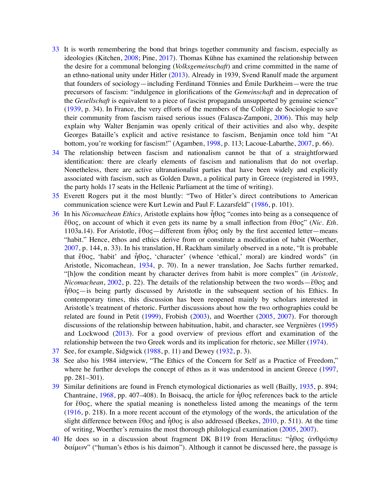- 33 It is worth remembering the bond that brings together community and fascism, especially as ideologies (Kitchen, 2008; Pine, 2017). Thomas Kühne has examined the relationship between the desire for a communal belonging (*Volksgemeinschaft*) and crime committed in the name of an ethno-national unity under Hitler (2013). Already in 1939, Svend Ranulf made the argument that founders of sociology—including Ferdinand Tönnies and Émile Durkheim—were the true precursors of fascism: "indulgence in glorifications of the *Gemeinschaft* and in deprecation of the *Gesellschaft* is equivalent to a piece of fascist propaganda unsupported by genuine science" (1939, p. 34). In France, the very efforts of the members of the Collège de Sociologie to save their community from fascism raised serious issues (Falasca-Zamponi, 2006). This may help explain why Walter Benjamin was openly critical of their activities and also why, despite Georges Bataille's explicit and active resistance to fascism, Benjamin once told him "At bottom, you're working for fascism!" (Agamben, 1998, p. 113; Lacoue-Labarthe, 2007, p. 66).
- 34 The relationship between fascism and nationalism cannot be that of a straightforward identification: there are clearly elements of fascism and nationalism that do not overlap. Nonetheless, there are active ultranationalist parties that have been widely and explicitly associated with fascism, such as Golden Dawn, a political party in Greece (registered in 1993, the party holds 17 seats in the Hellenic Parliament at the time of writing).
- 35 Everett Rogers put it the most bluntly: "Two of Hitler's direct contributions to American communication science were Kurt Lewin and Paul F. Lazarsfeld" (1986, p. 101).
- 36 In his *Nicomachean Ethics,* Aristotle explains how ἦθος "comes into being as a consequence of ἔθος, on account of which it even gets its name by a small inflection from ἔθος" (*Nic. Eth*. 1103a.14). For Aristotle, ἔθος—different from  $\hat{\eta}$ θος only by the first accented letter—means "habit." Hence, ēthos and ethics derive from or constitute a modification of habit (Woerther, 2007, p. 144, n. 33). In his translation, H. Rackham similarly observed in a note, "It is probable that ἔθος, 'habit' and ἦθος, 'character' (whence 'ethical,' moral) are kindred words" (in Aristotle, Nicomachean, 1934, p. 70). In a newer translation, Joe Sachs further remarked, "[h]ow the condition meant by character derives from habit is more complex" (in *Aristotle, Nicomachean*, 2002, p. 22). The details of the relationship between the two words—ἔθος and  $\hat{\eta}$ θος—is being partly discussed by Aristotle in the subsequent section of his Ethics. In contemporary times, this discussion has been reopened mainly by scholars interested in Aristotle's treatment of rhetoric. Further discussions about how the two orthographies could be related are found in Petit (1999), Frobish (2003), and Woerther (2005, 2007). For thorough discussions of the relationship between habituation, habit, and character, see Vergnières (1995) and Lockwood (2013). For a good overview of previous effort and examination of the relationship between the two Greek words and its implication for rhetoric, see Miller (1974).
- 37 See, for example, Sidgwick (1988, p. 11) and Dewey (1932, p. 3).
- 38 See also his 1984 interview, "The Ethics of the Concern for Self as a Practice of Freedom," where he further develops the concept of ēthos as it was understood in ancient Greece (1997, pp. 281–301).
- 39 Similar definitions are found in French etymological dictionaries as well (Bailly, 1935, p. 894; Chantraine, 1968, pp. 407–408). In Boisacq, the article for  $\hat{\eta}$ θος references back to the article for ἔθος, where the spatial meaning is nonetheless listed among the meanings of the term (1916, p. 218). In a more recent account of the etymology of the words, the articulation of the slight difference between ἔθος and ἦθος is also addressed (Beekes, 2010, p. 511). At the time of writing, Woerther's remains the most thorough philological examination (2005, 2007).
- 40 He does so in a discussion about fragment DK B119 from Heraclitus: "ἦθος ἀνθρώπῳ δαίμων" ("human's ēthos is his daimon"). Although it cannot be discussed here, the passage is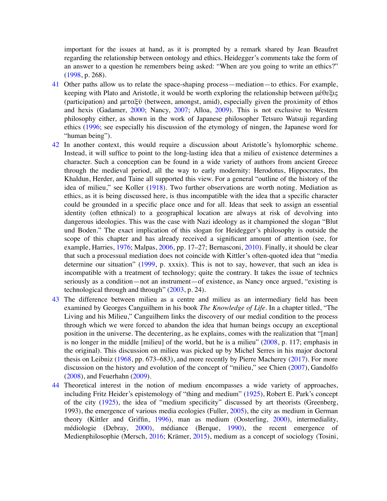important for the issues at hand, as it is prompted by a remark shared by Jean Beaufret regarding the relationship between ontology and ethics. Heidegger's comments take the form of an answer to a question he remembers being asked: "When are you going to write an ethics?" (1998, p. 268).

- 41 Other paths allow us to relate the space-shaping process—mediation—to ethics. For example, keeping with Plato and Aristotle, it would be worth exploring the relationship between μέθεξις (participation) and  $\mu \in \alpha \xi \mathcal{V}$  (between, amongst, amid), especially given the proximity of ethos and hexis (Gadamer, 2000; Nancy, 2007; Alloa, 2009). This is not exclusive to Western philosophy either, as shown in the work of Japanese philosopher Tetsuro Watsuji regarding ethics (1996; see especially his discussion of the etymology of ningen, the Japanese word for "human being").
- 42 In another context, this would require a discussion about Aristotle's hylomorphic scheme. Instead, it will suffice to point to the long-lasting idea that a milieu of existence determines a character. Such a conception can be found in a wide variety of authors from ancient Greece through the medieval period, all the way to early modernity: Herodotus, Hippocrates, Ibn Khaldun, Herder, and Taine all supported this view. For a general "outline of the history of the idea of milieu," see Koller (1918). Two further observations are worth noting. Mediation as ethics, as it is being discussed here, is thus incompatible with the idea that a specific character could be grounded in a specific place once and for all. Ideas that seek to assign an essential identity (often ethnical) to a geographical location are always at risk of devolving into dangerous ideologies. This was the case with Nazi ideology as it championed the slogan "Blut und Boden." The exact implication of this slogan for Heidegger's philosophy is outside the scope of this chapter and has already received a significant amount of attention (see, for example, Harries, 1976; Malpas, 2006, pp. 17–27; Bernasconi, 2010). Finally, it should be clear that such a processual mediation does not coincide with Kittler's often-quoted idea that "media determine our situation" (1999, p. xxxix). This is not to say, however, that such an idea is incompatible with a treatment of technology; quite the contrary. It takes the issue of technics seriously as a condition—not an instrument—of existence, as Nancy once argued, "existing is technological through and through" (2003, p. 24).
- 43 The difference between milieu as a centre and milieu as an intermediary field has been examined by Georges Canguilhem in his book *The Knowledge of Life*. In a chapter titled, "The Living and his Milieu," Canguilhem links the discovery of our medial condition to the process through which we were forced to abandon the idea that human beings occupy an exceptional position in the universe. The decentering, as he explains, comes with the realization that "[man] is no longer in the middle [milieu] of the world, but he is a milieu" (2008, p. 117; emphasis in the original). This discussion on milieu was picked up by Michel Serres in his major doctoral thesis on Leibniz (1968, pp. 673–683), and more recently by Pierre Macherey (2017). For more discussion on the history and evolution of the concept of "milieu," see Chien (2007), Gandolfo (2008), and Feuerhahn (2009).
- 44 Theoretical interest in the notion of medium encompasses a wide variety of approaches, including Fritz Heider's epistemology of "thing and medium" (1925), Robert E. Park's concept of the city (1925), the idea of "medium specificity" discussed by art theorists (Greenberg, 1993), the emergence of various media ecologies (Fuller, 2005), the city as medium in German theory (Kittler and Griffin, 1996), man as medium (Oosterling, 2000), intermediality, médiologie (Debray, 2000), médiance (Berque, 1990), the recent emergence of Medienphilosophie (Mersch, 2016; Krämer, 2015), medium as a concept of sociology (Tosini,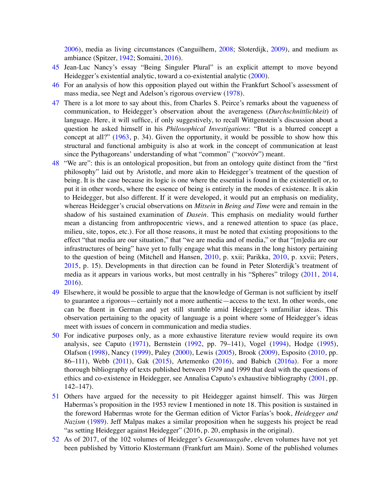2006), media as living circumstances (Canguilhem, 2008; Sloterdijk, 2009), and medium as ambiance (Spitzer, 1942; Somaini, 2016).

- 45 Jean-Luc Nancy's essay "Being Singuler Plural" is an explicit attempt to move beyond Heidegger's existential analytic, toward a co-existential analytic (2000).
- 46 For an analysis of how this opposition played out within the Frankfurt School's assessment of mass media, see Negt and Adelson's rigorous overview (1978).
- 47 There is a lot more to say about this, from Charles S. Peirce's remarks about the vagueness of communication, to Heidegger's observation about the averageness (*Durchschnittlichkeit*) of language. Here, it will suffice, if only suggestively, to recall Wittgenstein's discussion about a question he asked himself in his *Philosophical Investigations*: "But is a blurred concept a concept at all?" (1963, p. 34). Given the opportunity, it would be possible to show how this structural and functional ambiguity is also at work in the concept of communication at least since the Pythagoreans' understanding of what "common" ("κοινόν") meant.
- 48 "We are": this is an ontological proposition, but from an ontology quite distinct from the "first philosophy" laid out by Aristotle, and more akin to Heidegger's treatment of the question of being. It is the case because its logic is one where the essential is found in the existentiell or, to put it in other words, where the essence of being is entirely in the modes of existence. It is akin to Heidegger, but also different. If it were developed, it would put an emphasis on mediality, whereas Heidegger's crucial observations on *Mitsein* in *Being and Time* were and remain in the shadow of his sustained examination of *Dasein*. This emphasis on mediality would further mean a distancing from anthropocentric views, and a renewed attention to space (as place, milieu, site, topos, etc.). For all those reasons, it must be noted that existing propositions to the effect "that media are our situation," that "we are media and of media," or that "[m]edia are our infrastructures of being" have yet to fully engage what this means in the long history pertaining to the question of being (Mitchell and Hansen, 2010, p. xxii; Parikka, 2010, p. xxvii; Peters, 2015, p. 15). Developments in that direction can be found in Peter Sloterdijk's treatment of media as it appears in various works, but most centrally in his "Spheres" trilogy (2011, 2014, 2016).
- 49 Elsewhere, it would be possible to argue that the knowledge of German is not sufficient by itself to guarantee a rigorous—certainly not a more authentic—access to the text. In other words, one can be fluent in German and yet still stumble amid Heidegger's unfamiliar ideas. This observation pertaining to the opacity of language is a point where some of Heidegger's ideas meet with issues of concern in communication and media studies.
- 50 For indicative purposes only, as a more exhaustive literature review would require its own analysis, see Caputo (1971), Bernstein (1992, pp. 79–141), Vogel (1994), Hodge (1995), Olafson (1998), Nancy (1999), Paley (2000), Lewis (2005), Brook (2009), Esposito (2010, pp. 86–111), Webb (2011), Gak (2015), Artemenko (2016), and Babich (2016a). For a more thorough bibliography of texts published between 1979 and 1999 that deal with the questions of ethics and co-existence in Heidegger, see Annalisa Caputo's exhaustive bibliography (2001, pp. 142–147).
- 51 Others have argued for the necessity to pit Heidegger against himself. This was Jürgen Habermas's proposition in the 1953 review I mentioned in note 18. This position is sustained in the foreword Habermas wrote for the German edition of Victor Farías's book, *Heidegger and Nazism* (1989). Jeff Malpas makes a similar proposition when he suggests his project be read "as setting Heidegger against Heidegger" (2016, p. 20, emphasis in the original).
- 52 As of 2017, of the 102 volumes of Heidegger's *Gesamtausgabe*, eleven volumes have not yet been published by Vittorio Klostermann (Frankfurt am Main). Some of the published volumes